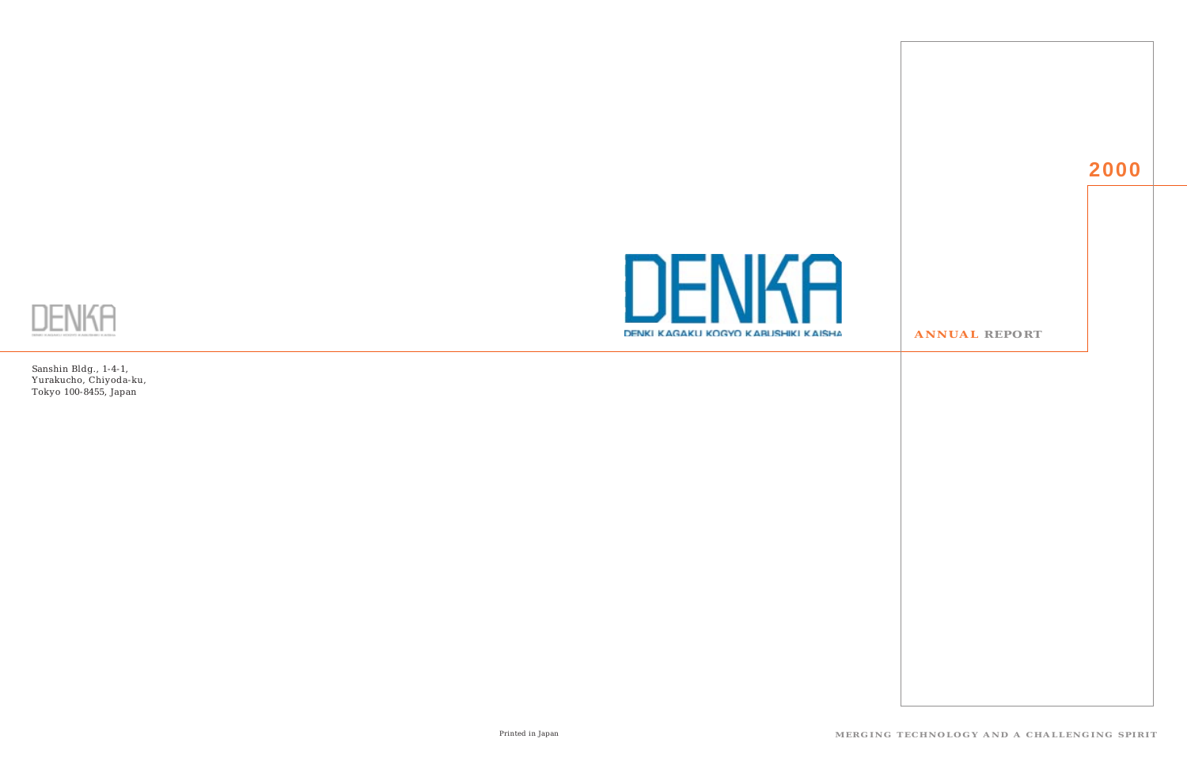



Sanshin Bldg., 1-4-1, Yurakucho, Chiyoda-ku, Tokyo 100-8455, Japan

Printed in Japan **MERGING TECHNOLOGY AND A CHALLENGING SPIRIT**

#### **ANNUAL REPORT**

# **2000**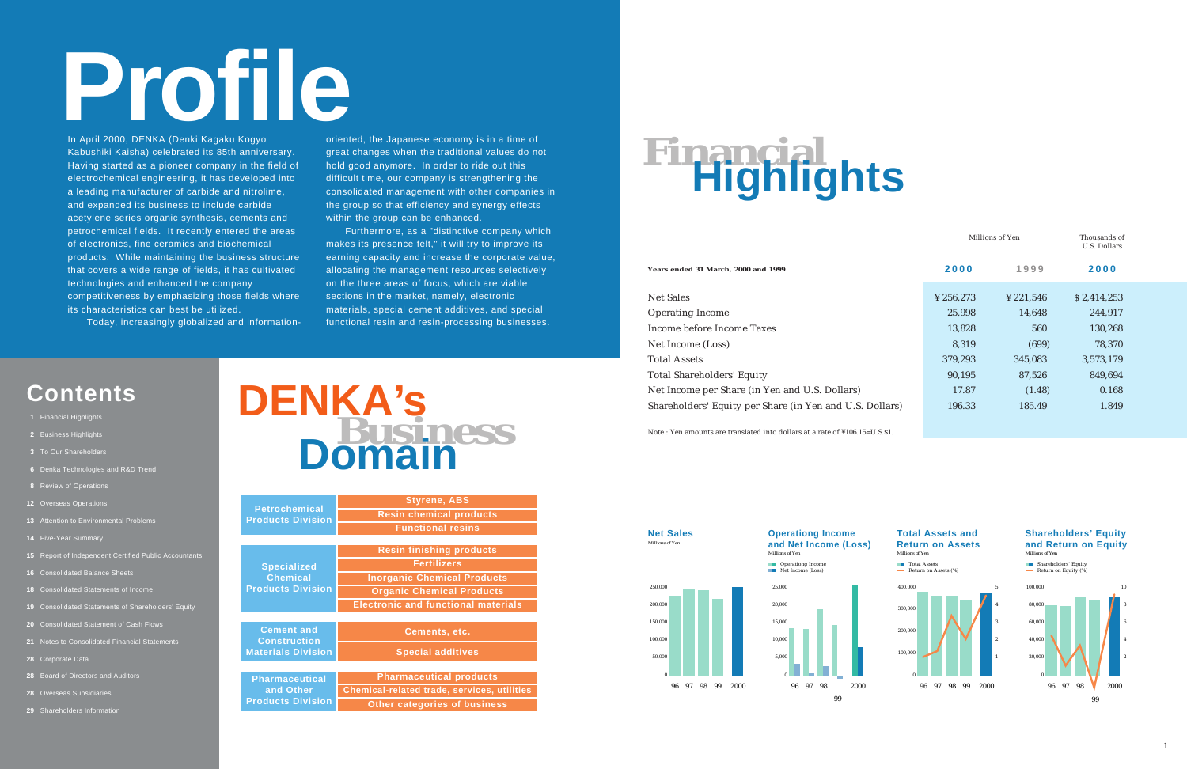# **Profile**

In April 2000, DENKA (Denki Kagaku Kogyo Kabushiki Kaisha) celebrated its 85th anniversary. Having started as a pioneer company in the field of electrochemical engineering, it has developed into a leading manufacturer of carbide and nitrolime, and expanded its business to include carbide acetylene series organic synthesis, cements and petrochemical fields. It recently entered the areas of electronics, fine ceramics and biochemical products. While maintaining the business structure that covers a wide range of fields, it has cultivated technologies and enhanced the company competitiveness by emphasizing those fields where its characteristics can best be utilized.

oriented, the Japanese economy is in a time of great changes when the traditional values do not hold good anymore. In order to ride out this difficult time, our company is strengthening the consolidated management with other companies in the group so that efficiency and synergy effects within the group can be enhanced.

Today, increasingly globalized and information-

Net Sales Operating Income Income before Income Taxes Net Income (Loss) Total Assets Total Shareholders' Equity Net Income per Share (in Yen and U.S. Dollars) Shareholders' Equity per Share (in Yen and U.S. Dollars)

Furthermore, as a "distinctive company which makes its presence felt," it will try to improve its earning capacity and increase the corporate value, allocating the management resources selectively on the three areas of focus, which are viable sections in the market, namely, electronic materials, special cement additives, and special functional resin and resin-processing businesses.

#### **Shareholders' Equity and Return on Equity**<br>Millions of Yen

# **Contents**

- **1** Financial Highlights
- **2** Business Highlights
- **3** To Our Shareholders
- **6** Denka Technologies and R&D Trend
- **8** Review of Operations
- **12** Overseas Operations
- **13** Attention to Environmental Problems
- **14** Five-Year Summary
- **15** Report of Independent Certified Public Accountants
- **16** Consolidated Balance Sheets
- **18** Consolidated Statements of Income
- **19** Consolidated Statements of Shareholders' Equity
- **20** Consolidated Statement of Cash Flows
- **21** Notes to Consolidated Financial Statements
- **28** Corporate Data
- **28** Board of Directors and Auditors
- **28** Overseas Subsidiaries
- **29** Shareholders Information



# **Financial Highlights**

**Years ended 31 March, 2000 and 1999**

Note : Yen amounts are translated into dollars at a rate of ¥106.15=U.S.\$1.

|      |                       | Millions of Yen | Thousands of<br>U.S. Dollars |
|------|-----------------------|-----------------|------------------------------|
|      | 2000                  | 1999            | 2000                         |
|      | $\frac{1}{2}$ 256,273 | ¥ 221,546       | \$2,414,253                  |
|      | 25,998                | 14,648          | 244,917                      |
|      | 13,828                | 560             | 130,268                      |
|      | 8,319                 | (699)           | 78,370                       |
|      | 379,293               | 345,083         | 3,573,179                    |
|      | 90,195                | 87,526          | 849,694                      |
|      | 17.87                 | (1.48)          | 0.168                        |
| ars) | 196.33                | 185.49          | 1.849                        |
|      |                       |                 |                              |







|                                                  | <b>Styrene, ABS</b>                                |  |
|--------------------------------------------------|----------------------------------------------------|--|
| <b>Petrochemical</b><br><b>Products Division</b> | <b>Resin chemical products</b>                     |  |
|                                                  | <b>Functional resins</b>                           |  |
|                                                  |                                                    |  |
|                                                  | <b>Resin finishing products</b>                    |  |
| <b>Specialized</b>                               | <b>Fertilizers</b>                                 |  |
| <b>Chemical</b>                                  | <b>Inorganic Chemical Products</b>                 |  |
| <b>Products Division</b>                         | <b>Organic Chemical Products</b>                   |  |
|                                                  | <b>Electronic and functional materials</b>         |  |
|                                                  |                                                    |  |
| <b>Cement and</b><br><b>Construction</b>         | <b>Cements, etc.</b>                               |  |
| <b>Materials Division</b>                        | <b>Special additives</b>                           |  |
|                                                  |                                                    |  |
| <b>Pharmaceutical</b>                            | <b>Pharmaceutical products</b>                     |  |
| and Other                                        | <b>Chemical-related trade, services, utilities</b> |  |
| <b>Products Division</b>                         | <b>Other categories of business</b>                |  |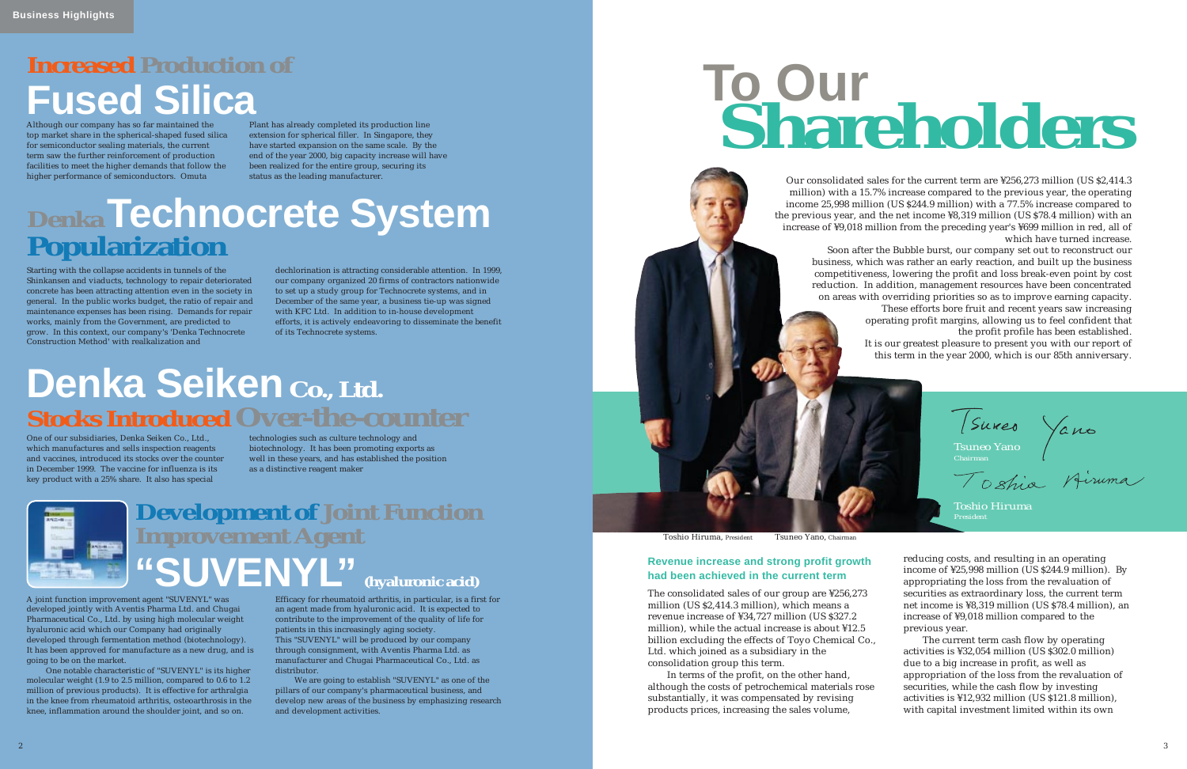# **Increased Production of Fused Silica**

Although our company has so far maintained the top market share in the spherical-shaped fused silica for semiconductor sealing materials, the current term saw the further reinforcement of production facilities to meet the higher demands that follow the higher performance of semiconductors. Omuta

Plant has already completed its production line extension for spherical filler. In Singapore, they have started expansion on the same scale. By the end of the year 2000, big capacity increase will have been realized for the entire group, securing its status as the leading manufacturer.

# **Denka Seiken Co., Ltd. Stocks Introduced Over-the-counter**

One of our subsidiaries, Denka Seiken Co., Ltd., which manufactures and sells inspection reagents and vaccines, introduced its stocks over the counter in December 1999. The vaccine for influenza is its key product with a 25% share. It also has special

technologies such as culture technology and biotechnology. It has been promoting exports as well in these years, and has established the position as a distinctive reagent maker



# **Denka Technocrete System Popularization**

Starting with the collapse accidents in tunnels of the Shinkansen and viaducts, technology to repair deteriorated concrete has been attracting attention even in the society in general. In the public works budget, the ratio of repair and maintenance expenses has been rising. Demands for repair works, mainly from the Government, are predicted to grow. In this context, our company's 'Denka Technocrete Construction Method' with realkalization and

dechlorination is attracting considerable attention. In 1999, our company organized 20 firms of contractors nationwide to set up a study group for Technocrete systems, and in December of the same year, a business tie-up was signed with KFC Ltd. In addition to in-house development efforts, it is actively endeavoring to disseminate the benefit of its Technocrete systems.

# **Development of Joint Function Improvement Agent "SUVENYL" (hyaluronic acid)**

A joint function improvement agent "SUVENYL" was developed jointly with Aventis Pharma Ltd. and Chugai Pharmaceutical Co., Ltd. by using high molecular weight hyaluronic acid which our Company had originally developed through fermentation method (biotechnology). It has been approved for manufacture as a new drug, and is going to be on the market.

One notable characteristic of "SUVENYL" is its higher molecular weight (1.9 to 2.5 million, compared to 0.6 to 1.2 million of previous products). It is effective for arthralgia in the knee from rheumatoid arthritis, osteoarthrosis in the knee, inflammation around the shoulder joint, and so on.

Efficacy for rheumatoid arthritis, in particular, is a first for an agent made from hyaluronic acid. It is expected to contribute to the improvement of the quality of life for patients in this increasingly aging society. This "SUVENYL" will be produced by our company through consignment, with Aventis Pharma Ltd. as manufacturer and Chugai Pharmaceutical Co., Ltd. as distributor.

We are going to establish "SUVENYL" as one of the pillars of our company's pharmaceutical business, and develop new areas of the business by emphasizing research and development activities.



# **To Our Shareholders**

Our consolidated sales for the current term are ¥256,273 million (US \$2,414.3 million) with a 15.7% increase compared to the previous year, the operating income 25,998 million (US \$244.9 million) with a 77.5% increase compared to the previous year, and the net income ¥8,319 million (US \$78.4 million) with an increase of ¥9,018 million from the preceding year's ¥699 million in red, all of which have turned increase.

Soon after the Bubble burst, our company set out to reconstruct our business, which was rather an early reaction, and built up the business competitiveness, lowering the profit and loss break-even point by cost reduction. In addition, management resources have been concentrated on areas with overriding priorities so as to improve earning capacity.

These efforts bore fruit and recent years saw increasing operating profit margins, allowing us to feel confident that the profit profile has been established.

It is our greatest pleasure to present you with our report of this term in the year 2000, which is our 85th anniversary.

*Toshio Hiruma President Tsuneo Yano Chairman*

The consolidated sales of our group are ¥256,273 million (US \$2,414.3 million), which means a revenue increase of ¥34,727 million (US \$327.2 million), while the actual increase is about ¥12.5 billion excluding the effects of Toyo Chemical Co., Ltd. which joined as a subsidiary in the consolidation group this term.

In terms of the profit, on the other hand, although the costs of petrochemical materials rose substantially, it was compensated by revising products prices, increasing the sales volume,

reducing costs, and resulting in an operating income of ¥25,998 million (US \$244.9 million). By appropriating the loss from the revaluation of securities as extraordinary loss, the current term net income is ¥8,319 million (US \$78.4 million), an increase of ¥9,018 million compared to the previous year.

The current term cash flow by operating activities is ¥32,054 million (US \$302.0 million) due to a big increase in profit, as well as appropriation of the loss from the revaluation of securities, while the cash flow by investing activities is ¥12,932 million (US \$121.8 million), with capital investment limited within its own

#### **Revenue increase and strong profit growth had been achieved in the current term**

Toshio Hiruma, President Tsuneo Yano, Chairman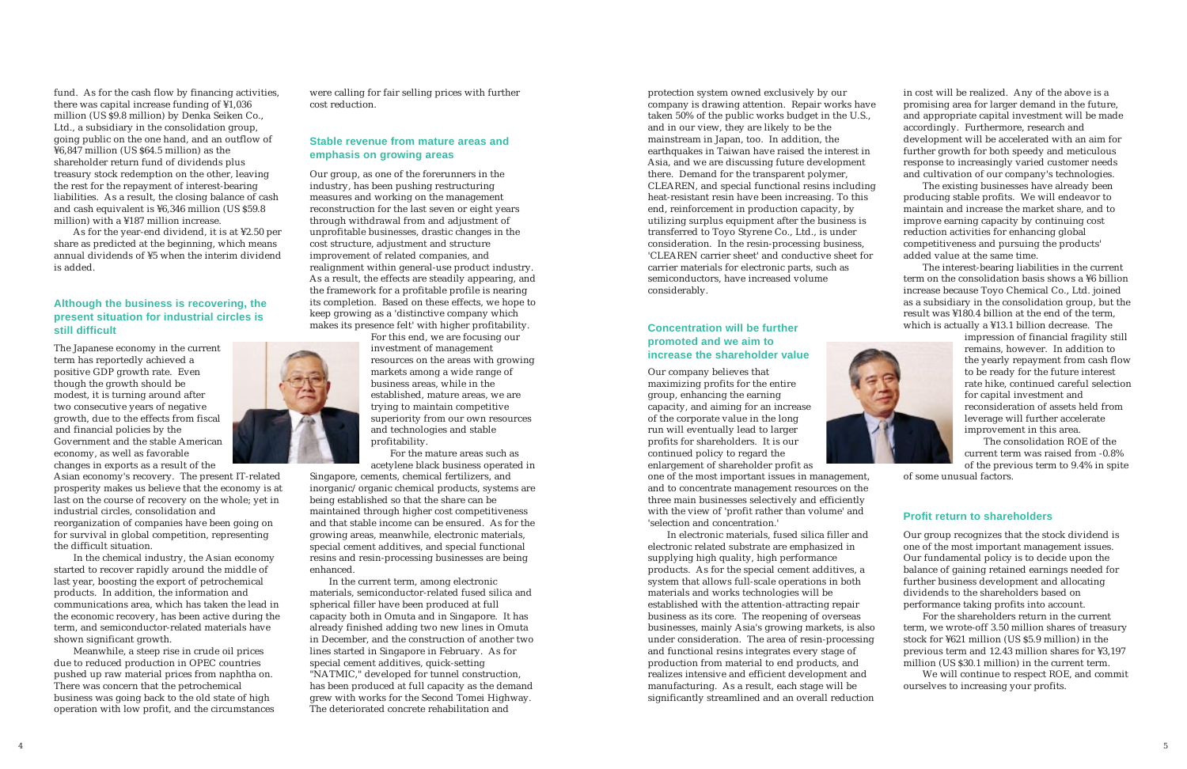fund. As for the cash flow by financing activities, there was capital increase funding of ¥1,036 million (US \$9.8 million) by Denka Seiken Co., Ltd., a subsidiary in the consolidation group, going public on the one hand, and an outflow of ¥6,847 million (US \$64.5 million) as the shareholder return fund of dividends plus treasury stock redemption on the other, leaving the rest for the repayment of interest-bearing liabilities. As a result, the closing balance of cash and cash equivalent is ¥6,346 million (US \$59.8 million) with a ¥187 million increase.

As for the year-end dividend, it is at ¥2.50 per share as predicted at the beginning, which means annual dividends of ¥5 when the interim dividend is added.

The Japanese economy in the current term has reportedly achieved a positive GDP growth rate. Even though the growth should be modest, it is turning around after two consecutive years of negative growth, due to the effects from fiscal and financial policies by the Government and the stable American economy, as well as favorable changes in exports as a result of the

Asian economy's recovery. The present IT-related prosperity makes us believe that the economy is at last on the course of recovery on the whole; yet in industrial circles, consolidation and reorganization of companies have been going on for survival in global competition, representing the difficult situation.

In the chemical industry, the Asian economy started to recover rapidly around the middle of last year, boosting the export of petrochemical products. In addition, the information and communications area, which has taken the lead in the economic recovery, has been active during the term, and semiconductor-related materials have shown significant growth.

Meanwhile, a steep rise in crude oil prices due to reduced production in OPEC countries pushed up raw material prices from naphtha on. There was concern that the petrochemical business was going back to the old state of high operation with low profit, and the circumstances were calling for fair selling prices with further cost reduction.

Our group, as one of the forerunners in the industry, has been pushing restructuring measures and working on the management reconstruction for the last seven or eight years through withdrawal from and adjustment of unprofitable businesses, drastic changes in the cost structure, adjustment and structure improvement of related companies, and realignment within general-use product industry. As a result, the effects are steadily appearing, and the framework for a profitable profile is nearing its completion. Based on these effects, we hope to keep growing as a 'distinctive company which makes its presence felt' with higher profitability.



For this end, we are focusing our investment of management resources on the areas with growing markets among a wide range of business areas, while in the established, mature areas, we are trying to maintain competitive superiority from our own resources and technologies and stable profitability.

For the mature areas such as acetylene black business operated in

Singapore, cements, chemical fertilizers, and inorganic/organic chemical products, systems are being established so that the share can be maintained through higher cost competitiveness and that stable income can be ensured. As for the growing areas, meanwhile, electronic materials, special cement additives, and special functional resins and resin-processing businesses are being enhanced.

In the current term, among electronic materials, semiconductor-related fused silica and spherical filler have been produced at full capacity both in Omuta and in Singapore. It has already finished adding two new lines in Omuta in December, and the construction of another two lines started in Singapore in February. As for special cement additives, quick-setting "NATMIC," developed for tunnel construction, has been produced at full capacity as the demand grew with works for the Second Tomei Highway. The deteriorated concrete rehabilitation and

protection system owned exclusively by our company is drawing attention. Repair works have taken 50% of the public works budget in the U.S., and in our view, they are likely to be the mainstream in Japan, too. In addition, the earthquakes in Taiwan have raised the interest in Asia, and we are discussing future development there. Demand for the transparent polymer, CLEAREN, and special functional resins including heat-resistant resin have been increasing. To this end, reinforcement in production capacity, by utilizing surplus equipment after the business is transferred to Toyo Styrene Co., Ltd., is under consideration. In the resin-processing business, 'CLEAREN carrier sheet' and conductive sheet for carrier materials for electronic parts, such as semiconductors, have increased volume considerably.

Our company believes that maximizing profits for the entire group, enhancing the earning capacity, and aiming for an increase of the corporate value in the long run will eventually lead to larger profits for shareholders. It is our continued policy to regard the enlargement of shareholder profit as



one of the most important issues in management, and to concentrate management resources on the three main businesses selectively and efficiently with the view of 'profit rather than volume' and 'selection and concentration.'

In electronic materials, fused silica filler and electronic related substrate are emphasized in supplying high quality, high performance products. As for the special cement additives, a system that allows full-scale operations in both materials and works technologies will be established with the attention-attracting repair business as its core. The reopening of overseas businesses, mainly Asia's growing markets, is also under consideration. The area of resin-processing and functional resins integrates every stage of production from material to end products, and realizes intensive and efficient development and manufacturing. As a result, each stage will be significantly streamlined and an overall reduction

in cost will be realized. Any of the above is a promising area for larger demand in the future, and appropriate capital investment will be made accordingly. Furthermore, research and development will be accelerated with an aim for further growth for both speedy and meticulous response to increasingly varied customer needs and cultivation of our company's technologies.

The existing businesses have already been producing stable profits. We will endeavor to maintain and increase the market share, and to improve earning capacity by continuing cost reduction activities for enhancing global competitiveness and pursuing the products' added value at the same time.

The interest-bearing liabilities in the current term on the consolidation basis shows a ¥6 billion increase because Toyo Chemical Co., Ltd. joined as a subsidiary in the consolidation group, but the result was ¥180.4 billion at the end of the term, which is actually a ¥13.1 billion decrease. The

> impression of financial fragility still remains, however. In addition to the yearly repayment from cash flow to be ready for the future interest rate hike, continued careful selection for capital investment and reconsideration of assets held from leverage will further accelerate improvement in this area.

The consolidation ROE of the current term was raised from -0.8% of the previous term to 9.4% in spite

of some unusual factors.

Our group recognizes that the stock dividend is one of the most important management issues. Our fundamental policy is to decide upon the balance of gaining retained earnings needed for further business development and allocating dividends to the shareholders based on performance taking profits into account.

For the shareholders return in the current term, we wrote-off 3.50 million shares of treasury stock for ¥621 million (US \$5.9 million) in the previous term and 12.43 million shares for ¥3,197 million (US \$30.1 million) in the current term.

We will continue to respect ROE, and commit ourselves to increasing your profits.

#### **Although the business is recovering, the present situation for industrial circles is still difficult**

#### **Stable revenue from mature areas and emphasis on growing areas**

#### **Concentration will be further promoted and we aim to increase the shareholder value**

#### **Profit return to shareholders**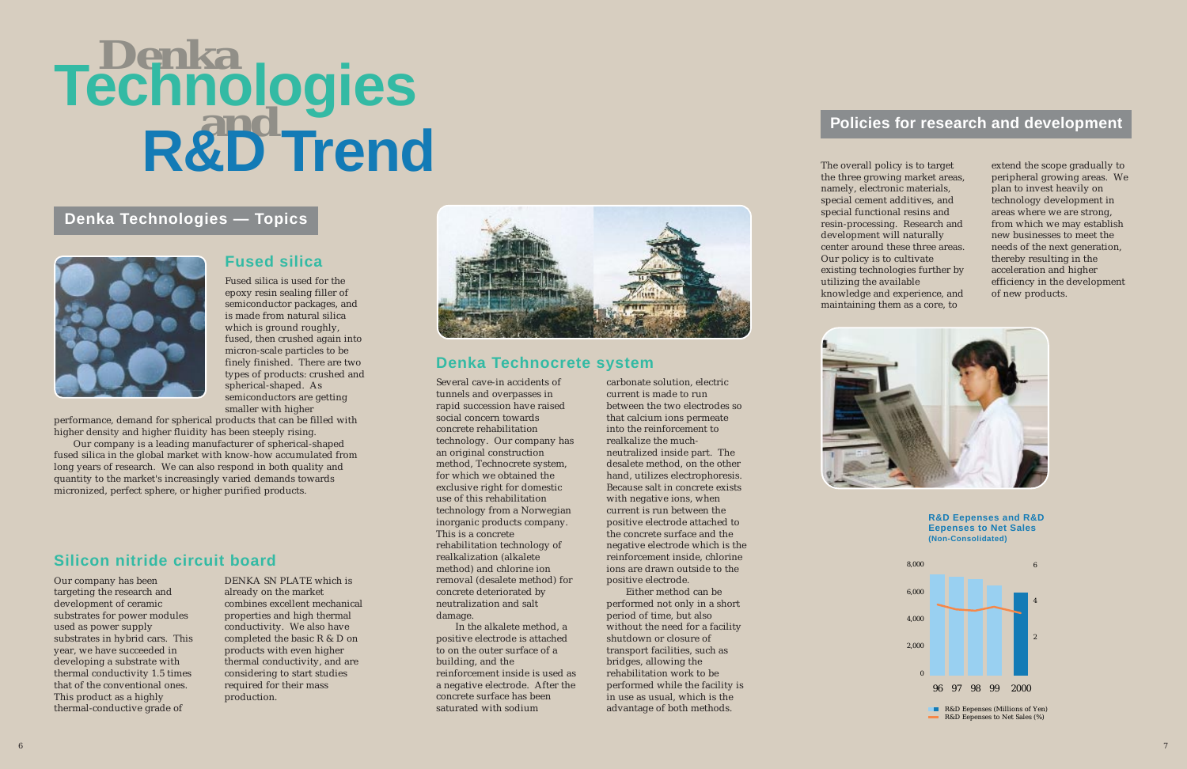#### **Fused silica**

# **Denka and Technologies R&D Trend**

## **Denka Technologies — Topics**



Fused silica is used for the epoxy resin sealing filler of semiconductor packages, and is made from natural silica which is ground roughly, fused, then crushed again into micron-scale particles to be finely finished. There are two types of products: crushed and spherical-shaped. As semiconductors are getting smaller with higher

performance, demand for spherical products that can be filled with higher density and higher fluidity has been steeply rising.

Our company is a leading manufacturer of spherical-shaped fused silica in the global market with know-how accumulated from long years of research. We can also respond in both quality and quantity to the market's increasingly varied demands towards micronized, perfect sphere, or higher purified products.

# **Silicon nitride circuit board**

Our company has been targeting the research and development of ceramic substrates for power modules used as power supply substrates in hybrid cars. This year, we have succeeded in developing a substrate with thermal conductivity 1.5 times that of the conventional ones. This product as a highly thermal-conductive grade of

DENKA SN PLATE which is already on the market combines excellent mechanical properties and high thermal conductivity. We also have completed the basic R & D on products with even higher thermal conductivity, and are considering to start studies required for their mass production.



### **Denka Technocrete system**

Several cave-in accidents of tunnels and overpasses in rapid succession have raised social concern towards concrete rehabilitation technology. Our company has an original construction method, Technocrete system, for which we obtained the exclusive right for domestic use of this rehabilitation technology from a Norwegian inorganic products company. This is a concrete rehabilitation technology of realkalization (alkalete method) and chlorine ion removal (desalete method) for concrete deteriorated by neutralization and salt damage.

In the alkalete method, a positive electrode is attached to on the outer surface of a building, and the reinforcement inside is used as a negative electrode. After the concrete surface has been saturated with sodium

carbonate solution, electric current is made to run between the two electrodes so that calcium ions permeate into the reinforcement to realkalize the muchneutralized inside part. The desalete method, on the other hand, utilizes electrophoresis. Because salt in concrete exists with negative ions, when current is run between the positive electrode attached to the concrete surface and the negative electrode which is the reinforcement inside, chlorine ions are drawn outside to the positive electrode.

Either method can be performed not only in a short period of time, but also without the need for a facility shutdown or closure of transport facilities, such as bridges, allowing the rehabilitation work to be performed while the facility is in use as usual, which is the advantage of both methods.

#### **Policies for research and development**

The overall policy is to target the three growing market areas, namely, electronic materials, special cement additives, and special functional resins and resin-processing. Research and development will naturally center around these three areas. Our policy is to cultivate existing technologies further by knowledge and experience, and

utilizing the available maintaining them as a core, to



extend the scope gradually to peripheral growing areas. We plan to invest heavily on technology development in areas where we are strong, from which we may establish new businesses to meet the needs of the next generation, thereby resulting in the acceleration and higher efficiency in the development of new products.





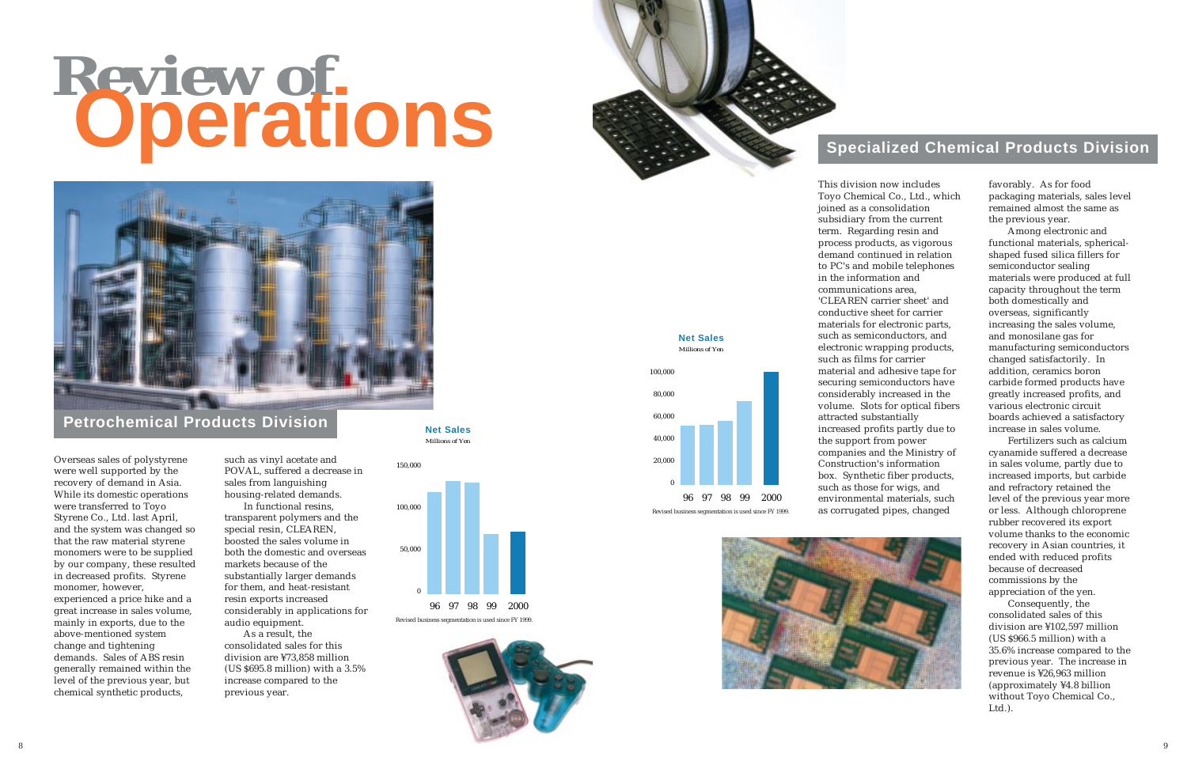



# **Review of Operations**



#### **Petrochemical Products Division**

Overseas sales of polystyrene were well supported by the recovery of demand in Asia. While its domestic operations were transferred to Toyo Styrene Co., Ltd. last April, and the system was changed so that the raw material styrene monomers were to be supplied by our company, these resulted in decreased profits. Styrene monomer, however, experienced a price hike and a great increase in sales volume, mainly in exports, due to the above-mentioned system change and tightening demands. Sales of ABS resin generally remained within the level of the previous year, but chemical synthetic products,

such as vinyl acetate and POVAL, suffered a decrease in sales from languishing housing-related demands.

In functional resins, transparent polymers and the special resin, CLEAREN, boosted the sales volume in both the domestic and overseas markets because of the substantially larger demands for them, and heat-resistant resin exports increased considerably in applications for audio equipment.

As a result, the consolidated sales for this division are ¥73,858 million (US \$695.8 million) with a 3.5% increase compared to the previous year.

*Millions of Yen* **Net Sales**



## **Specialized Chemical Products Division**

in the information and communications area, attracted substantially



This division now includes Toyo Chemical Co., Ltd., which joined as a consolidation subsidiary from the current term. Regarding resin and process products, as vigorous demand continued in relation to PC's and mobile telephones 'CLEAREN carrier sheet' and conductive sheet for carrier materials for electronic parts, such as semiconductors, and electronic wrapping products, such as films for carrier material and adhesive tape for securing semiconductors have considerably increased in the volume. Slots for optical fibers increased profits partly due to the support from power companies and the Ministry of Construction's information box. Synthetic fiber products, such as those for wigs, and environmental materials, such as corrugated pipes, changed

favorably. As for food packaging materials, sales level remained almost the same as the previous year.





Among electronic and functional materials, sphericalshaped fused silica fillers for semiconductor sealing materials were produced at full capacity throughout the term both domestically and overseas, significantly increasing the sales volume, and monosilane gas for manufacturing semiconductors changed satisfactorily. In addition, ceramics boron carbide formed products have greatly increased profits, and various electronic circuit boards achieved a satisfactory increase in sales volume.

Fertilizers such as calcium cyanamide suffered a decrease in sales volume, partly due to increased imports, but carbide and refractory retained the level of the previous year more or less. Although chloroprene rubber recovered its export volume thanks to the economic recovery in Asian countries, it ended with reduced profits because of decreased commissions by the appreciation of the yen.

Consequently, the consolidated sales of this division are ¥102,597 million (US \$966.5 million) with a 35.6% increase compared to the previous year. The increase in revenue is ¥26,963 million (approximately ¥4.8 billion without Toyo Chemical Co., Ltd.).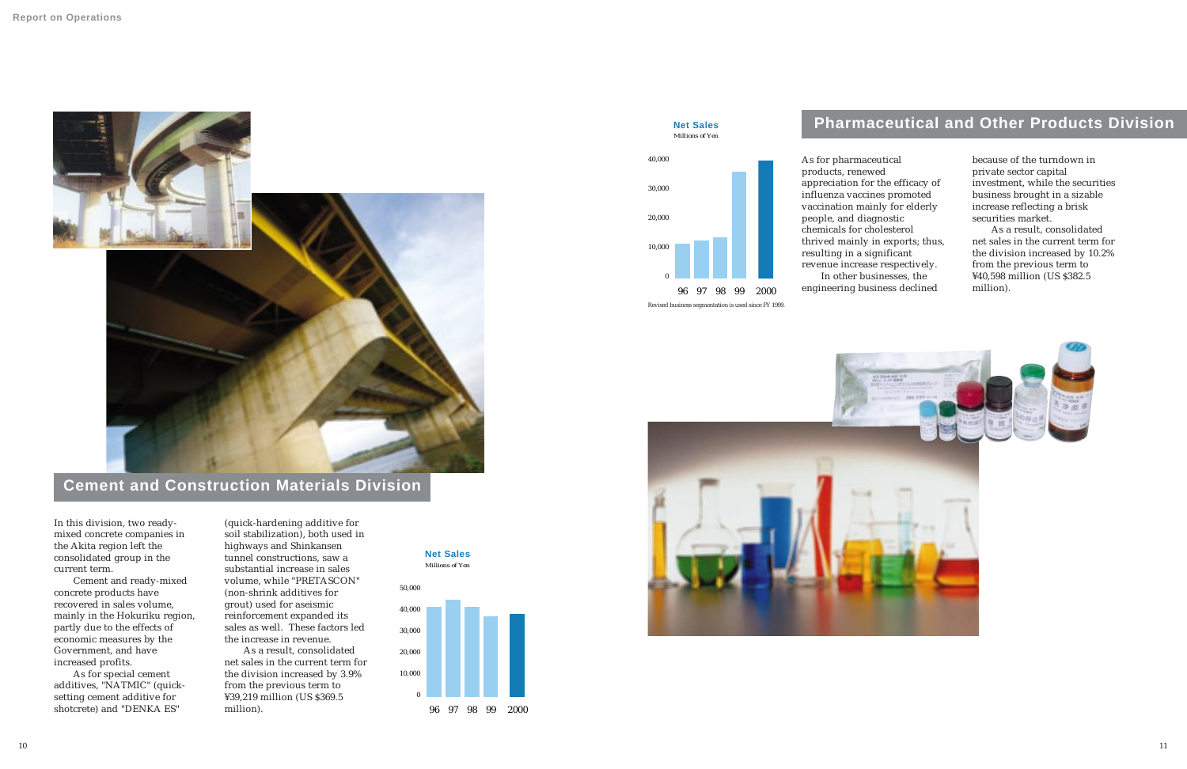

# **Cement and Construction Materials Division**

In this division, two readymixed concrete companies in the Akita region left the consolidated group in the current term.

Cement and ready-mixed concrete products have recovered in sales volume, mainly in the Hokuriku region, partly due to the effects of economic measures by the Government, and have increased profits.

As for special cement additives, "NATMIC" (quicksetting cement additive for shotcrete) and "DENKA ES"

(quick-hardening additive for

soil stabilization), both used in highways and Shinkansen tunnel constructions, saw a substantial increase in sales volume, while "PRETASCON" (non-shrink additives for grout) used for aseismic reinforcement expanded its sales as well. These factors led the increase in revenue.

As a result, consolidated net sales in the current term for the division increased by 3.9% from the previous term to ¥39,219 million (US \$369.5 million).

*Millions of Yen*

# **Net Sales**



## **Pharmaceutical and Other Products Division**

#### *Millions of Yen* **Net Sales**

96 97 98 99 2000

![](_page_6_Picture_15.jpeg)

![](_page_6_Picture_16.jpeg)

0

10,000

20,000

30,000

![](_page_6_Figure_12.jpeg)

40,000 As for pharmaceutical products, renewed appreciation for the efficacy of influenza vaccines promoted vaccination mainly for elderly people, and diagnostic chemicals for cholesterol thrived mainly in exports; thus, resulting in a significant revenue increase respectively. In other businesses, the engineering business declined

because of the turndown in private sector capital investment, while the securities business brought in a sizable increase reflecting a brisk securities market.

As a result, consolidated net sales in the current term for the division increased by 10.2% from the previous term to ¥40,598 million (US \$382.5 million).

Revised business segmentation is used since FY 1999.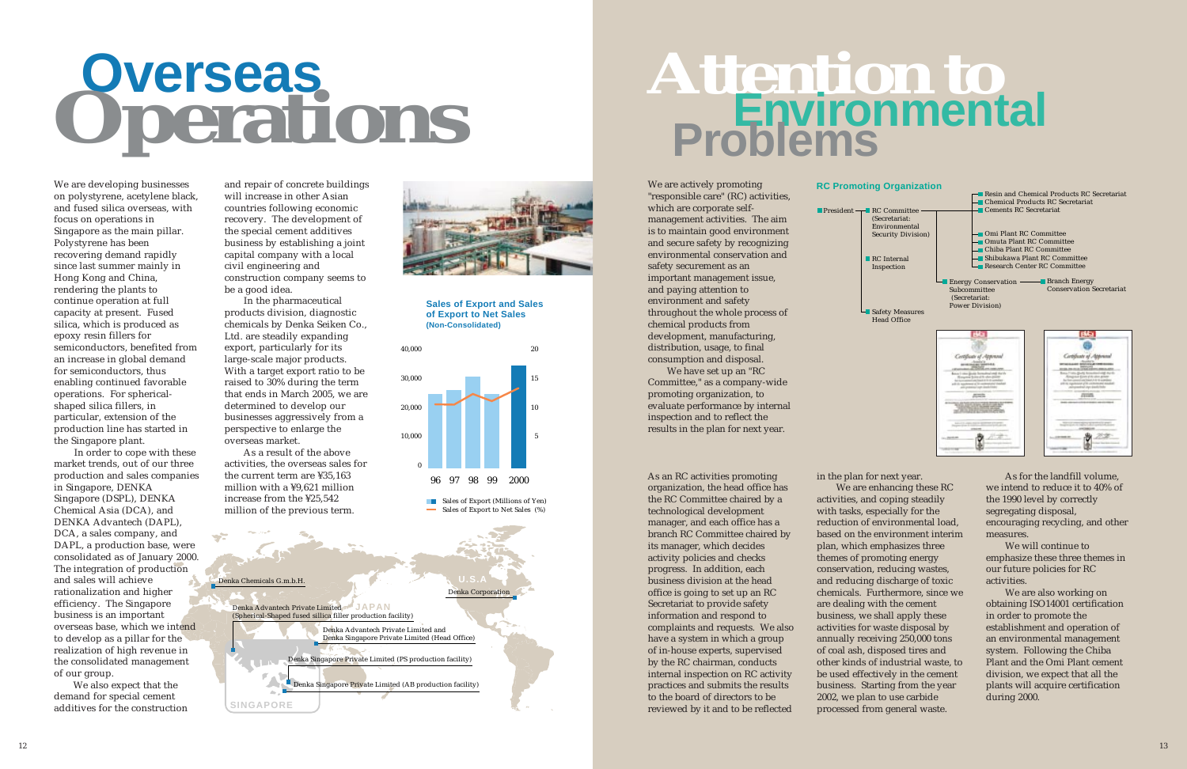Denka Corporation **U.S.A**

Denka Chemicals G.m.b.H.

**SINGAPORE**

**JAPAN** Denka Advantech Private Limited

(Spherical-Shaped fused sillica filler production facility)

Denka Advantech Private Limited and Denka Singapore Private Limited (Head Office)

Denka Singapore Private Limited (PS production facility)

Denka Singapore Private Limited (AB production facility)

![](_page_7_Picture_7.jpeg)

We are developing businesses on polystyrene, acetylene black, and fused silica overseas, with focus on operations in Singapore as the main pillar. Polystyrene has been recovering demand rapidly since last summer mainly in Hong Kong and China, rendering the plants to continue operation at full capacity at present. Fused silica, which is produced as epoxy resin fillers for semiconductors, benefited from an increase in global demand for semiconductors, thus enabling continued favorable operations. For sphericalshaped silica fillers, in particular, extension of the production line has started in the Singapore plant.

In order to cope with these market trends, out of our three production and sales companies in Singapore, DENKA Singapore (DSPL), DENKA Chemical Asia (DCA), and DENKA Advantech (DAPL), DCA, a sales company, and DAPL, a production base, were consolidated as of January 2000. The integration of production and sales will achieve rationalization and higher efficiency. The Singapore business is an important overseas base, which we intend to develop as a pillar for the realization of high revenue in the consolidated management of our group.

We also expect that the demand for special cement additives for the construction and repair of concrete buildings will increase in other Asian countries following economic recovery. The development of the special cement additives business by establishing a joint capital company with a local civil engineering and construction company seems to be a good idea.

In the pharmaceutical products division, diagnostic chemicals by Denka Seiken Co., Ltd. are steadily expanding export, particularly for its large-scale major products. With a target export ratio to be raised to 30% during the term that ends in March 2005, we are determined to develop our businesses aggressively from a perspective to enlarge the overseas market.

As a result of the above activities, the overseas sales for the current term are ¥35,163 million with a ¥9,621 million increase from the ¥25,542 million of the previous term.

**President**  $\overline{\phantom{a}}$  **RC Committee** (Secretariat: Environmental Security Division)

> **RC** Internal Inspection

As an RC activities promoting organization, the head office has the RC Committee chaired by a technological development manager, and each office has a branch RC Committee chaired by its manager, which decides activity policies and checks progress. In addition, each business division at the head office is going to set up an RC Secretariat to provide safety information and respond to complaints and requests. We also have a system in which a group of in-house experts, supervised by the RC chairman, conducts internal inspection on RC activity practices and submits the results to the board of directors to be reviewed by it and to be reflected

**Safety Measures** Head Office

**Energy Conservation – Subcommittee**  (Secretariat: Power Division)

Branch Energy Conservation Secretariat

![](_page_7_Picture_25.jpeg)

We are actively promoting "responsible care" (RC) activities, which are corporate selfmanagement activities. The aim is to maintain good environment and secure safety by recognizing environmental conservation and safety securement as an important management issue, and paying attention to environment and safety throughout the whole process of chemical products from development, manufacturing, distribution, usage, to final consumption and disposal.

We have set up an "RC Committee," as a company-wide promoting organization, to evaluate performance by internal inspection and to reflect the results in the plan for next year.

> in the plan for next year. We are enhancing these RC activities, and coping steadily with tasks, especially for the reduction of environmental load, based on the environment interim plan, which emphasizes three themes of promoting energy conservation, reducing wastes, and reducing discharge of toxic chemicals. Furthermore, since we are dealing with the cement business, we shall apply these activities for waste disposal by annually receiving 250,000 tons of coal ash, disposed tires and other kinds of industrial waste, to be used effectively in the cement business. Starting from the year 2002, we plan to use carbide processed from general waste.

As for the landfill volume, we intend to reduce it to 40% of the 1990 level by correctly segregating disposal, encouraging recycling, and other measures.

We will continue to emphasize these three themes in our future policies for RC activities.

We are also working on obtaining ISO14001 certification in order to promote the establishment and operation of an environmental management system. Following the Chiba Plant and the Omi Plant cement division, we expect that all the plants will acquire certification during 2000.

#### **Sales of Export and Sales of Export to Net Sales (Non-Consolidated)**

![](_page_7_Figure_9.jpeg)

**Attention to Environmental Problems**

#### **RC Promoting Organization**

![](_page_7_Figure_22.jpeg)

# **Overseas Operations**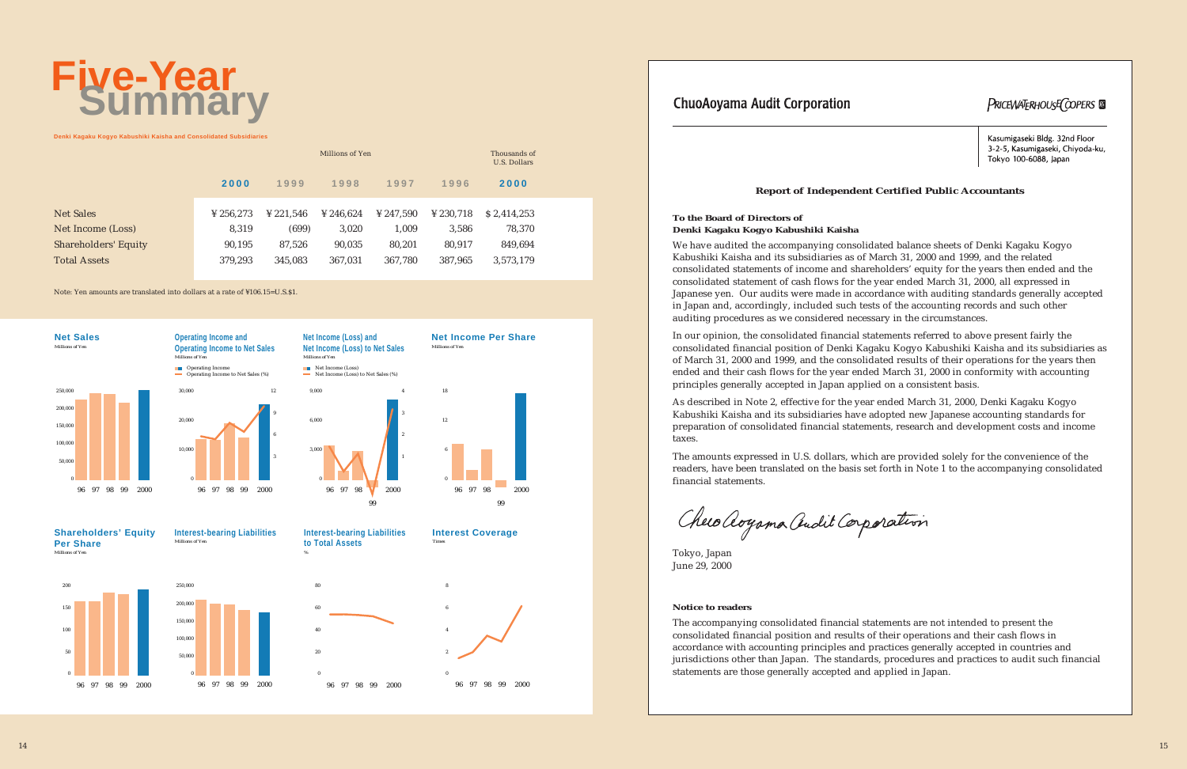# **Five-Year Summary**

**Denki Kagaku Kogyo Kabushiki Kaisha and Consolidated Subsidiaries**

|                             |                       |                       | Millions of Yen |                       |                       | Thousands of<br><b>U.S. Dollars</b> |  |
|-----------------------------|-----------------------|-----------------------|-----------------|-----------------------|-----------------------|-------------------------------------|--|
|                             | 2000                  | 1999                  | 1998            | 1997                  | 1996                  | 2000                                |  |
|                             |                       |                       |                 |                       |                       |                                     |  |
| <b>Net Sales</b>            | $\frac{1}{2}$ 256.273 | $\frac{1}{2}$ 221.546 | ¥ 246.624       | $\frac{1}{2}$ 247.590 | $\frac{1}{2}$ 230.718 | \$2,414,253                         |  |
| Net Income (Loss)           | 8,319                 | (699)                 | 3,020           | 1,009                 | 3,586                 | 78,370                              |  |
| <b>Shareholders' Equity</b> | 90,195                | 87,526                | 90,035          | 80,201                | 80,917                | 849,694                             |  |
| <b>Total Assets</b>         | 379,293               | 345,083               | 367,031         | 367,780               | 387,965               | 3,573,179                           |  |

50.00 100,000 150,000 200,000 250,000

Note: Yen amounts are translated into dollars at a rate of ¥106.15=U.S.\$1.

![](_page_8_Figure_9.jpeg)

![](_page_8_Figure_14.jpeg)

0

![](_page_8_Figure_13.jpeg)

**to Total Assets**

*%*

![](_page_8_Figure_15.jpeg)

#### **ChuoAoyama Audit Corporation**

**Shareholders' Equity Per Share**

*Millions of Yen*

![](_page_8_Figure_8.jpeg)

96 97 98 2000

Operating Income to Net Sales (%) 3 6 9 12

![](_page_8_Figure_4.jpeg)

**Net Income Per Share**

*Millions of Yen*

**Net Income (Loss) and Net Income (Loss) to Net Sales**

![](_page_8_Figure_11.jpeg)

![](_page_8_Figure_10.jpeg)

*Millions of Yen*

#### **To the Board of Directors of Denki Kagaku Kogyo Kabushiki Kaisha**

We have audited the accompanying consolidated balance sheets of Denki Kagaku Kogyo Kabushiki Kaisha and its subsidiaries as of March 31, 2000 and 1999, and the related consolidated statements of income and shareholders' equity for the years then ended and the consolidated statement of cash flows for the year ended March 31, 2000, all expressed in Japanese yen. Our audits were made in accordance with auditing standards generally accepted in Japan and, accordingly, included such tests of the accounting records and such other auditing procedures as we considered necessary in the circumstances.

In our opinion, the consolidated financial statements referred to above present fairly the consolidated financial position of Denki Kagaku Kogyo Kabushiki Kaisha and its subsidiaries as of March 31, 2000 and 1999, and the consolidated results of their operations for the years then ended and their cash flows for the year ended March 31, 2000 in conformity with accounting principles generally accepted in Japan applied on a consistent basis.

As described in Note 2, effective for the year ended March 31, 2000, Denki Kagaku Kogyo Kabushiki Kaisha and its subsidiaries have adopted new Japanese accounting standards for preparation of consolidated financial statements, research and development costs and income taxes.

The amounts expressed in U.S. dollars, which are provided solely for the convenience of the readers, have been translated on the basis set forth in Note 1 to the accompanying consolidated financial statements.

Checo aoyama audit Corporation

Tokyo, Japan June 29, 2000

#### **Notice to readers**

The accompanying consolidated financial statements are not intended to present the consolidated financial position and results of their operations and their cash flows in accordance with accounting principles and practices generally accepted in countries and jurisdictions other than Japan. The standards, procedures and practices to audit such financial statements are those generally accepted and applied in Japan.

**PRICEWATERHOUSE COPERS** 

Kasumigaseki Bldg. 32nd Floor 3-2-5, Kasumigaseki, Chivoda-ku, Tokyo 100-6088, Japan

#### **Report of Independent Certified Public Accountants**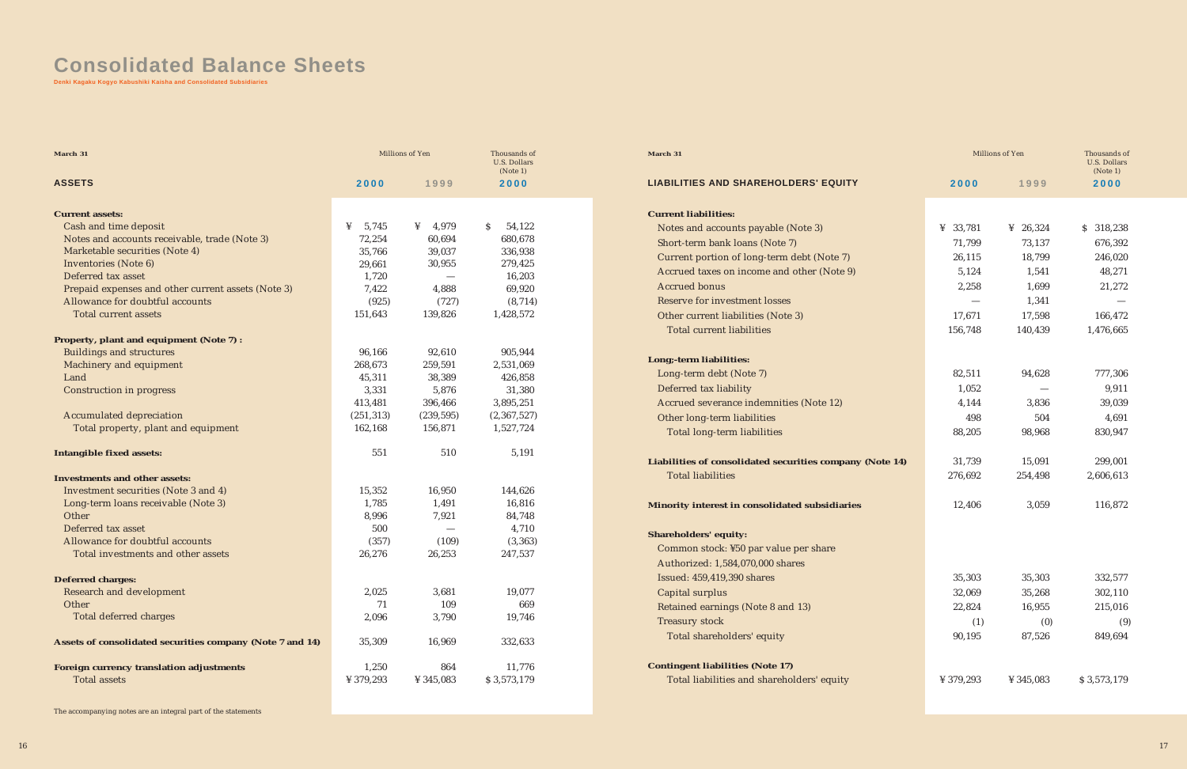# **Consolidated Balance Sheets**

**Denki Kagaku Kogyo Kabushiki Kaisha and Consolidated Subsidiaries**

| March 31                                                  |            | Millions of Yen | Thousands of<br><b>U.S. Dollars</b> |
|-----------------------------------------------------------|------------|-----------------|-------------------------------------|
| <b>ASSETS</b>                                             | 2000       | 1999            | (Note 1)<br>2000                    |
|                                                           |            |                 |                                     |
| <b>Current assets:</b>                                    |            |                 |                                     |
| Cash and time deposit                                     | ¥<br>5,745 | 4,979<br>¥      | $\mathcal{S}$<br>54,122             |
| Notes and accounts receivable, trade (Note 3)             | 72,254     | 60,694          | 680,678                             |
| Marketable securities (Note 4)                            | 35,766     | 39,037          | 336,938                             |
| Inventories (Note 6)                                      | 29,661     | 30,955          | 279,425                             |
| Deferred tax asset                                        | 1,720      |                 | 16,203                              |
| Prepaid expenses and other current assets (Note 3)        | 7,422      | 4,888           | 69,920                              |
| Allowance for doubtful accounts                           | (925)      | (727)           | (8, 714)                            |
| <b>Total current assets</b>                               | 151,643    | 139,826         | 1,428,572                           |
| Property, plant and equipment (Note 7) :                  |            |                 |                                     |
| <b>Buildings and structures</b>                           | 96,166     | 92,610          | 905,944                             |
| Machinery and equipment                                   | 268,673    | 259,591         | 2,531,069                           |
| Land                                                      | 45,311     | 38,389          | 426,858                             |
| <b>Construction in progress</b>                           | 3,331      | 5,876           | 31,380                              |
|                                                           | 413,481    | 396,466         | 3,895,251                           |
| <b>Accumulated depreciation</b>                           | (251, 313) | (239, 595)      | (2, 367, 527)                       |
| Total property, plant and equipment                       | 162,168    | 156,871         | 1,527,724                           |
| Intangible fixed assets:                                  | 551        | 510             | 5,191                               |
| <b>Investments and other assets:</b>                      |            |                 |                                     |
| Investment securities (Note 3 and 4)                      | 15,352     | 16,950          | 144,626                             |
| Long-term loans receivable (Note 3)                       | 1,785      | 1,491           | 16,816                              |
| Other                                                     | 8,996      | 7,921           | 84,748                              |
| Deferred tax asset                                        | 500        |                 | 4,710                               |
| Allowance for doubtful accounts                           | (357)      | (109)           | (3, 363)                            |
| Total investments and other assets                        | 26,276     | 26,253          | 247,537                             |
| <b>Deferred charges:</b>                                  |            |                 |                                     |
| <b>Research and development</b>                           | 2,025      | 3,681           | 19,077                              |
| Other                                                     | 71         | 109             | 669                                 |
| Total deferred charges                                    | 2,096      | 3,790           | 19,746                              |
| Assets of consolidated securities company (Note 7 and 14) | 35,309     | 16,969          | 332,633                             |
| Foreign currency translation adjustments                  | 1,250      | 864             | 11,776                              |
| <b>Total assets</b>                                       | ¥ 379,293  | ¥ 345,083       | \$3,573,179                         |

The accompanying notes are an integral part of the statements

#### Liabilities of consolidated securities company (Note Total liabilities

#### **March 31**

#### **LIABILITIES AND SHAREHOLDERS' EQUITY**

#### **Current liabilities:**

Notes and accounts payable (Note 3) Short-term bank loans (Note 7) Current portion of long-term debt (Note 7) Accrued taxes on income and other (Note 9) Accrued bonus Reserve for investment losses Other current liabilities (Note 3) Total current liabilities

#### **Long;-term liabilities:**

Long-term debt (Note 7) Deferred tax liability Accrued severance indemnities (Note 12) Other long-term liabilities Total long-term liabilities

#### **Minority interest in consolidated subsidiaries**

**Shareholders' equity:** Common stock: ¥50 par value per share Authorized: 1,584,070,000 shares Issued: 459,419,390 shares Capital surplus Retained earnings (Note 8 and 13) Treasury stock Total shareholders' equity

**Contingent liabilities (Note 17)** Total liabilities and shareholders' equity

|      |             | Millions of Yen | Thousands of<br><b>U.S. Dollars</b><br>(Note 1) |
|------|-------------|-----------------|-------------------------------------------------|
|      | 2000        | 1999            | 2000                                            |
|      |             |                 |                                                 |
|      | ¥<br>33,781 | 26,324<br>¥     | \$<br>318,238                                   |
|      | 71,799      | 73,137          | 676,392                                         |
|      | 26,115      | 18,799          | 246,020                                         |
|      | 5,124       | 1,541           | 48,271                                          |
|      | 2,258       | 1,699           | 21,272                                          |
|      |             | 1,341           |                                                 |
|      | 17,671      | 17,598          | 166,472                                         |
|      | 156,748     | 140,439         | 1,476,665                                       |
|      |             |                 |                                                 |
|      | 82,511      | 94,628          | 777,306                                         |
|      | 1,052       |                 | 9,911                                           |
|      | 4,144       | 3,836           | 39,039                                          |
|      | 498         | 504             | 4,691                                           |
|      | 88,205      | 98,968          | 830,947                                         |
| .14) | 31,739      | 15,091          | 299,001                                         |
|      | 276,692     | 254,498         | 2,606,613                                       |
|      | 12,406      | 3,059           | 116,872                                         |
|      |             |                 |                                                 |
|      | 35,303      | 35,303          | 332,577                                         |
|      | 32,069      | 35,268          | 302,110                                         |
|      | 22,824      | 16,955          | 215,016                                         |
|      | (1)         | (0)             | (9)                                             |
|      | 90,195      | 87,526          | 849,694                                         |
|      | ¥ 379,293   | ¥ 345,083       | \$3,573,179                                     |
|      |             |                 |                                                 |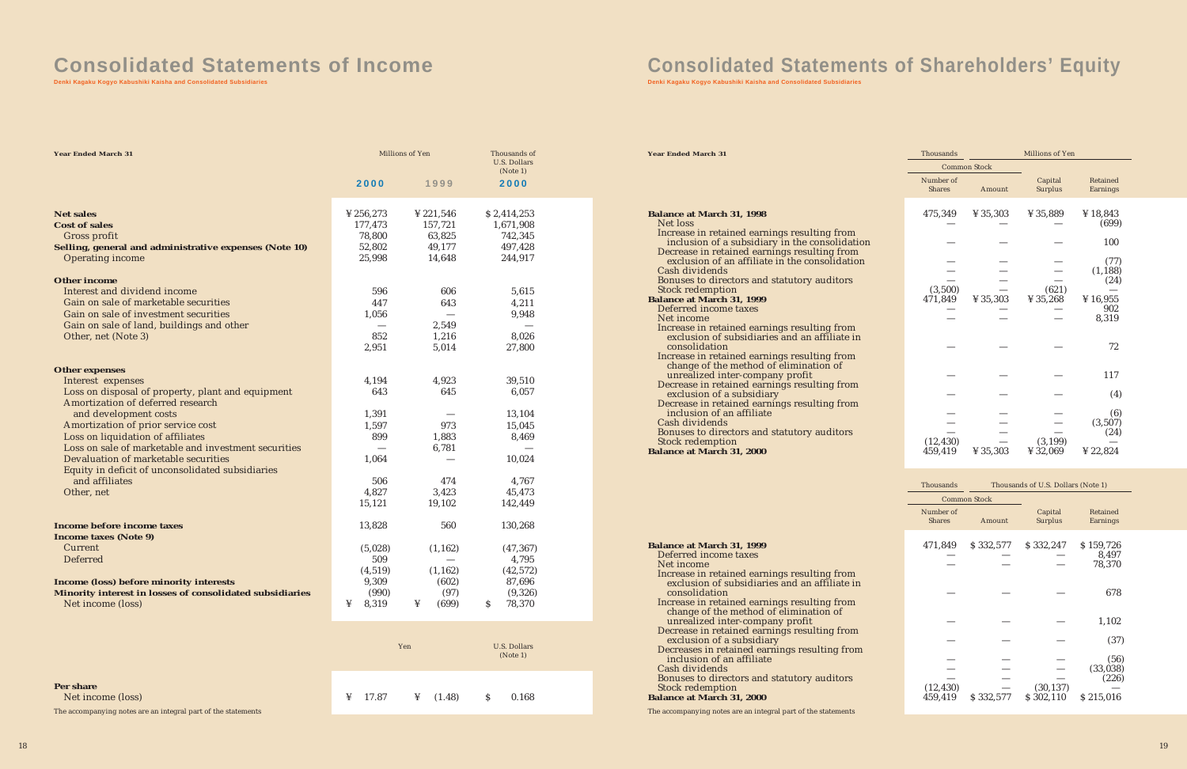# **Consolidated Statements of Income**

**Denki Kagaku Kogyo Kabushiki Kaisha and Consolidated Subsidiaries**

| <b>Year Ended March 31</b>                                 |            | Millions of Yen | Thousands of<br><b>U.S. Dollars</b><br>(Note 1) |
|------------------------------------------------------------|------------|-----------------|-------------------------------------------------|
|                                                            | 2000       | 1999            | 2000                                            |
| <b>Net sales</b>                                           | ¥ 256,273  | ¥ 221,546       | \$2,414,253                                     |
| Cost of sales                                              | 177,473    | 157,721         | 1,671,908                                       |
| Gross profit                                               | 78,800     | 63,825          | 742,345                                         |
| Selling, general and administrative expenses (Note 10)     | 52,802     | 49,177          | 497,428                                         |
| <b>Operating income</b>                                    | 25,998     | 14,648          | 244,917                                         |
| <b>Other income</b>                                        |            |                 |                                                 |
| Interest and dividend income                               | 596        | 606             | 5,615                                           |
| Gain on sale of marketable securities                      | 447        | 643             | 4,211                                           |
| Gain on sale of investment securities                      | 1.056      |                 | 9,948                                           |
| Gain on sale of land, buildings and other                  |            | 2,549           |                                                 |
| Other, net (Note 3)                                        | 852        | 1,216           | 8,026                                           |
|                                                            | 2,951      | 5,014           | 27,800                                          |
| <b>Other expenses</b>                                      |            |                 |                                                 |
| Interest expenses                                          | 4.194      | 4,923           | 39,510                                          |
| Loss on disposal of property, plant and equipment          | 643        | 645             | 6,057                                           |
| Amortization of deferred research                          |            |                 |                                                 |
| and development costs                                      | 1,391      |                 | 13,104                                          |
| Amortization of prior service cost                         | 1,597      | 973             | 15,045                                          |
| Loss on liquidation of affiliates                          | 899        | 1,883           | 8,469                                           |
| Loss on sale of marketable and investment securities       |            | 6,781           |                                                 |
| Devaluation of marketable securities                       | 1,064      |                 | 10,024                                          |
| Equity in deficit of unconsolidated subsidiaries           |            |                 |                                                 |
| and affiliates                                             | 506        | 474             | 4,767                                           |
| Other, net                                                 | 4,827      | 3,423           | 45,473                                          |
|                                                            | 15,121     | 19,102          | 142,449                                         |
| Income before income taxes<br><b>Income taxes (Note 9)</b> | 13,828     | 560             | 130,268                                         |
| Current                                                    | (5,028)    | (1, 162)        | (47, 367)                                       |
| <b>Deferred</b>                                            | 509        |                 | 4,795                                           |
|                                                            | (4, 519)   | (1, 162)        | (42, 572)                                       |
| Income (loss) before minority interests                    | 9,309      | (602)           | 87,696                                          |
| Minority interest in losses of consolidated subsidiaries   | (990)      | (97)            | (9,326)                                         |
| Net income (loss)                                          | ¥<br>8,319 | (699)<br>¥      | 78,370<br>\$                                    |
|                                                            |            |                 |                                                 |

**Per share**

Net income (loss)

# **Consolidate State State State State State State State**

The accompanying notes are an integral part of the statements

|  | Yen |                                             | <b>U.S. Dollars</b><br>(Note 1) |  |
|--|-----|---------------------------------------------|---------------------------------|--|
|  |     | $\frac{1}{4}$ 17.87 $\frac{1}{4}$ (1.48) \$ | 0.168                           |  |

**Denki Kagaku Kogyo Kabushiki Kaisha and Consolidated Subsidiaries**

**Year Ended March 31**

| <b>Balance at March 31, 1998</b><br>Net loss                                                                   |
|----------------------------------------------------------------------------------------------------------------|
| Increase in retained earnings resulting from<br>inclusion of a subsidiary in the consolidation                 |
| Decrease in retained earnings resulting from<br>exclusion of an affiliate in the consolidation                 |
| Cash dividends                                                                                                 |
| Bonuses to directors and statutory auditors                                                                    |
| <b>Stock redemption</b>                                                                                        |
| <b>Balance at March 31, 1999</b>                                                                               |
| Deferred income taxes<br>Net income                                                                            |
|                                                                                                                |
| Increase in retained earnings resulting from<br>exclusion of subsidiaries and an affiliate in<br>consolidation |
| Increase in retained earnings resulting from                                                                   |
| change of the method of elimination of                                                                         |
| unrealized inter-company profit                                                                                |
| Decrease in retained earnings resulting from<br>exclusion of a subsidiary                                      |
| Decrease in retained earnings resulting from<br>inclusion of an affiliate                                      |
| Cash dividends                                                                                                 |
| Bonuses to directors and statutory auditors                                                                    |
| <b>Stock redemption</b>                                                                                        |
| <b>Balance at March 31, 2000</b>                                                                               |

| Thousands                  |                      | Millions of Yen               |                                            |  |
|----------------------------|----------------------|-------------------------------|--------------------------------------------|--|
|                            | <b>Common Stock</b>  |                               |                                            |  |
| Number of<br><b>Shares</b> | Amount               | Capital<br>Surplus            | Retained<br>Earnings                       |  |
| 475,349                    | ¥ 35,303             | ¥ 35,889                      | ¥ 18,843<br>(699)                          |  |
|                            |                      |                               | 100                                        |  |
| (3,500)<br>471,849         | $\frac{1}{4}$ 35,303 | (621)<br>$\frac{1}{2}$ 35,268 | (77)<br>(1, 188)<br>(24)<br>¥16,955<br>902 |  |
|                            |                      |                               | 8,319                                      |  |
|                            |                      |                               | 72                                         |  |
|                            |                      |                               | 117                                        |  |
|                            |                      |                               | (4)                                        |  |
|                            |                      |                               | (6)<br>(3, 507)<br>(24)                    |  |
| (12, 430)<br>459,419       | ¥ 35,303             | (3, 199)<br>¥ 32,069          | $\frac{1}{2}$ 22,824                       |  |

| <b>Balance at March 31, 1999</b>                                                                               |
|----------------------------------------------------------------------------------------------------------------|
| Deferred income taxes                                                                                          |
| Net income                                                                                                     |
| Increase in retained earnings resulting from<br>exclusion of subsidiaries and an affiliate in<br>consolidation |
|                                                                                                                |
| Increase in retained earnings resulting from                                                                   |
| change of the method of elimination of                                                                         |
| unrealized inter-company profit                                                                                |
| Decrease in retained earnings resulting from<br>exclusion of a subsidiary                                      |
| Decreases in retained earnings resulting from                                                                  |
| inclusion of an affiliate                                                                                      |
| Cash dividends                                                                                                 |
| Bonuses to directors and statutory auditors                                                                    |
| <b>Stock redemption</b>                                                                                        |
| <b>Balance at March 31, 2000</b>                                                                               |
| The accompanying notes are an integral part of the statements                                                  |

| Thousands                  |                     | Thousands of U.S. Dollars (Note 1) |                      |
|----------------------------|---------------------|------------------------------------|----------------------|
|                            | <b>Common Stock</b> |                                    |                      |
| Number of<br><b>Shares</b> | Amount              | Capital<br>Surplus                 | Retained<br>Earnings |
| 471,849                    |                     | $$332,577$ $$332,247$              | \$159,726            |
|                            |                     |                                    | 8,497<br>78,370      |
|                            |                     |                                    | 678                  |
|                            |                     |                                    | 1,102                |
|                            |                     |                                    | (37)                 |
|                            |                     |                                    | (56)                 |
|                            |                     |                                    | (33, 038)<br>(226)   |
| (12, 430)<br>459,419       | \$332,577           | (30, 137)<br>\$302,110             | \$215,016            |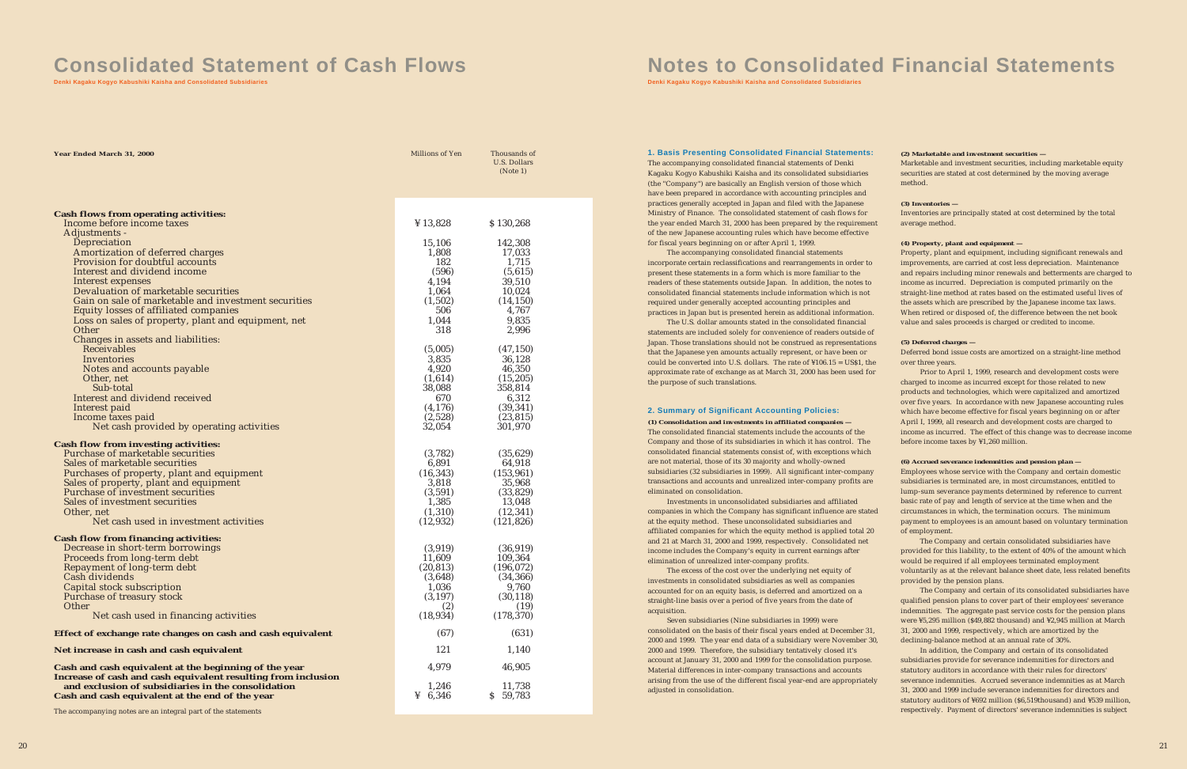# **Consolidated Statement of Cash Flows**

**Denki Kagaku Kogyo Kabushiki Kaisha and Consolidated Subsidiaries**

| Year Ended March 31, 2000                                                        | Millions of Yen     | Thousands of<br>U.S. Dollars<br>(Note 1) |
|----------------------------------------------------------------------------------|---------------------|------------------------------------------|
|                                                                                  |                     |                                          |
|                                                                                  |                     |                                          |
| <b>Cash flows from operating activities:</b><br>Income before income taxes       | ¥ 13,828            | \$130,268                                |
| Adjustments -                                                                    |                     |                                          |
| Depreciation                                                                     | 15,106              | 142,308                                  |
| Amortization of deferred charges                                                 | 1,808               | 17,033                                   |
| Provision for doubtful accounts<br>Interest and dividend income                  | 182<br>(596)        | 1,715<br>(5,615)                         |
| Interest expenses                                                                | 4,194               | 39,510                                   |
| Devaluation of marketable securities                                             | 1,064               | 10,024                                   |
| Gain on sale of marketable and investment securities                             | (1,502)             | (14, 150)                                |
| Equity losses of affiliated companies                                            | 506                 | 4,767                                    |
| Loss on sales of property, plant and equipment, net<br>Other                     | 1,044<br>318        | 9,835                                    |
| Changes in assets and liabilities:                                               |                     | 2,996                                    |
| Receivables                                                                      | (5,005)             | (47, 150)                                |
| Inventories                                                                      | 3,835               | 36,128                                   |
| Notes and accounts payable                                                       | 4,920               | 46,350                                   |
| Other, net                                                                       | (1,614)             | (15, 205)                                |
| Sub-total<br>Interest and dividend received                                      | 38,088              | 358,814                                  |
| Interest paid                                                                    | 670<br>(4, 176)     | 6,312<br>(39, 341)                       |
| Income taxes paid                                                                | (2,528)             | (23, 815)                                |
| Net cash provided by operating activities                                        | 32,054              | 301,970                                  |
| <b>Cash flow from investing activities:</b>                                      |                     |                                          |
| Purchase of marketable securities                                                | (3,782)             | (35, 629)                                |
| Sales of marketable securities                                                   | 6,891               | 64,918                                   |
| Purchases of property, plant and equipment                                       | (16, 343)           | (153, 961)                               |
| Sales of property, plant and equipment                                           | 3,818               | 35,968                                   |
| Purchase of investment securities                                                | (3,591)             | (33,829)                                 |
| Sales of investment securities<br>Other, net                                     | 1,385<br>(1,310)    | 13,048<br>(12, 341)                      |
| Net cash used in investment activities                                           | (12, 932)           | (121, 826)                               |
|                                                                                  |                     |                                          |
| <b>Cash flow from financing activities:</b><br>Decrease in short-term borrowings | (3,919)             | (36, 919)                                |
| Proceeds from long-term debt                                                     | 11,609              | 109,364                                  |
| Repayment of long-term debt                                                      | (20, 813)           | (196, 072)                               |
| Cash dividends                                                                   | (3,648)             | (34, 366)                                |
| Capital stock subscription                                                       | 1,036               | 9,760                                    |
| Purchase of treasury stock<br>Other                                              | (3, 197)<br>(2)     | (30, 118)<br>(19)                        |
| Net cash used in financing activities                                            | (18, 934)           | (178, 370)                               |
| Effect of exchange rate changes on cash and cash equivalent                      | (67)                | (631)                                    |
| Net increase in cash and cash equivalent                                         | 121                 | 1,140                                    |
| Cash and cash equivalent at the beginning of the year                            | 4,979               | 46,905                                   |
| Increase of cash and cash equivalent resulting from inclusion                    |                     |                                          |
| and exclusion of subsidiaries in the consolidation                               | 1,246               | 11,738                                   |
| Cash and cash equivalent at the end of the year                                  | $\frac{1}{2}$ 6,346 | \$59,783                                 |

The accompanying notes are an integral part of the statements

# **Notes to Consolidated Financial Statements**

**Denki Kagaku Kogyo Kabushiki Kaisha and Consolidated Subsidiaries**

Seven subsidiaries (Nine subsidiaries in 1999) were consolidated on the basis of their fiscal years ended at December 31, 2000 and 1999. The year end data of a subsidiary were November 30, 2000 and 1999. Therefore, the subsidiary tentatively closed it's account at January 31, 2000 and 1999 for the consolidation purpose. Material differences in inter-company transactions and accounts arising from the use of the different fiscal year-end are appropriately adjusted in consolidation.

The accompanying consolidated financial statements of Denki Kagaku Kogyo Kabushiki Kaisha and its consolidated subsidiaries (the "Company") are basically an English version of those which have been prepared in accordance with accounting principles and practices generally accepted in Japan and filed with the Japanese Ministry of Finance. The consolidated statement of cash flows for the year ended March 31, 2000 has been prepared by the requirement of the new Japanese accounting rules which have become effective for fiscal years beginning on or after April 1, 1999.

The accompanying consolidated financial statements incorporate certain reclassifications and rearrangements in order to present these statements in a form which is more familiar to the readers of these statements outside Japan. In addition, the notes to consolidated financial statements include information which is not required under generally accepted accounting principles and practices in Japan but is presented herein as additional information.

The U.S. dollar amounts stated in the consolidated financial statements are included solely for convenience of readers outside of Japan. Those translations should not be construed as representations that the Japanese yen amounts actually represent, or have been or could be converted into U.S. dollars. The rate of ¥106.15 = US\$1, the approximate rate of exchange as at March 31, 2000 has been used for the purpose of such translations.

*(1) Consolidation and investments in affiliated companies —*

The consolidated financial statements include the accounts of the Company and those of its subsidiaries in which it has control. The consolidated financial statements consist of, with exceptions which are not material, those of its 30 majority and wholly-owned subsidiaries (32 subsidiaries in 1999). All significant inter-company transactions and accounts and unrealized inter-company profits are eliminated on consolidation.

Investments in unconsolidated subsidiaries and affiliated companies in which the Company has significant influence are stated at the equity method. These unconsolidated subsidiaries and affiliated companies for which the equity method is applied total 20 and 21 at March 31, 2000 and 1999, respectively. Consolidated net income includes the Company's equity in current earnings after elimination of unrealized inter-company profits.

The excess of the cost over the underlying net equity of investments in consolidated subsidiaries as well as companies accounted for on an equity basis, is deferred and amortized on a straight-line basis over a period of five years from the date of acquisition.

#### *(2) Marketable and investment securities —*

Marketable and investment securities, including marketable equity securities are stated at cost determined by the moving average method.

#### *(3) Inventories —*

Inventories are principally stated at cost determined by the total average method.

#### *(4) Property, plant and equipment —*

Property, plant and equipment, including significant renewals and improvements, are carried at cost less depreciation. Maintenance and repairs including minor renewals and betterments are charged to income as incurred. Depreciation is computed primarily on the straight-line method at rates based on the estimated useful lives of the assets which are prescribed by the Japanese income tax laws. When retired or disposed of, the difference between the net book value and sales proceeds is charged or credited to income.

#### *(5) Deferred charges —*

Deferred bond issue costs are amortized on a straight-line method over three years.

Prior to April 1, 1999, research and development costs were charged to income as incurred except for those related to new products and technologies, which were capitalized and amortized over five years. In accordance with new Japanese accounting rules which have become effective for fiscal years beginning on or after April I, 1999, all research and development costs are charged to income as incurred. The effect of this change was to decrease income before income taxes by ¥1,260 million.

#### *(6) Accrued severance indemnities and pension plan —*

Employees whose service with the Company and certain domestic subsidiaries is terminated are, in most circumstances, entitled to lump-sum severance payments determined by reference to current basic rate of pay and length of service at the time when and the circumstances in which, the termination occurs. The minimum payment to employees is an amount based on voluntary termination of employment.

The Company and certain consolidated subsidiaries have provided for this liability, to the extent of 40% of the amount which would be required if all employees terminated employment voluntarily as at the relevant balance sheet date, less related benefits provided by the pension plans.

The Company and certain of its consolidated subsidiaries have qualified pension plans to cover part of their employees' severance indemnities. The aggregate past service costs for the pension plans were ¥5,295 million (\$49,882 thousand) and ¥2,945 million at March 31, 2000 and 1999, respectively, which are amortized by the declining-balance method at an annual rate of 30%.

In addition, the Company and certain of its consolidated subsidiaries provide for severance indemnities for directors and statutory auditors in accordance with their rules for directors' severance indemnities. Accrued severance indemnities as at March 31, 2000 and 1999 include severance indemnities for directors and statutory auditors of ¥692 million (\$6,519thousand) and ¥539 million, respectively. Payment of directors' severance indemnities is subject

#### **1. Basis Presenting Consolidated Financial Statements:**

#### **2. Summary of Significant Accounting Policies:**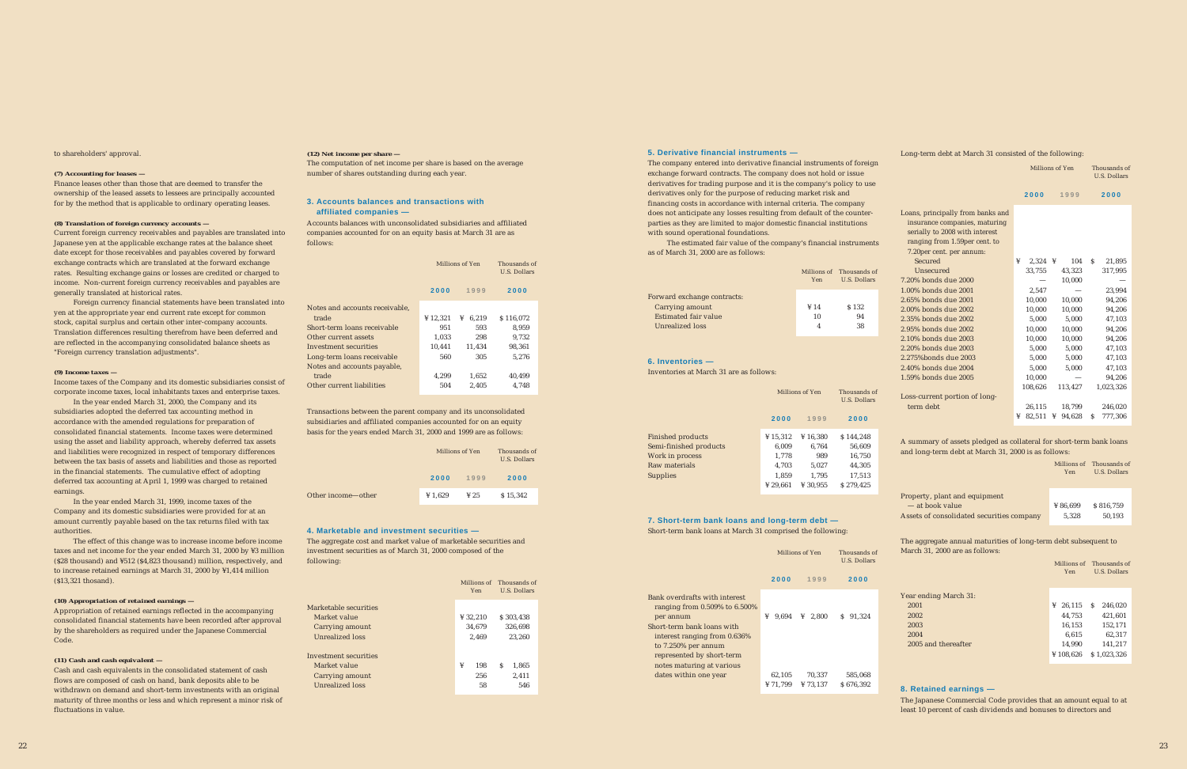to shareholders' approval.

#### *(7) Accounting for leases —*

Finance leases other than those that are deemed to transfer the ownership of the leased assets to lessees are principally accounted for by the method that is applicable to ordinary operating leases.

#### *(8) Translation of foreign currency accounts —*

Current foreign currency receivables and payables are translated into Japanese yen at the applicable exchange rates at the balance sheet date except for those receivables and payables covered by forward exchange contracts which are translated at the forward exchange rates. Resulting exchange gains or losses are credited or charged to income. Non-current foreign currency receivables and payables are generally translated at historical rates.

Foreign currency financial statements have been translated into yen at the appropriate year end current rate except for common stock, capital surplus and certain other inter-company accounts. Translation differences resulting therefrom have been deferred and are reflected in the accompanying consolidated balance sheets as "Foreign currency translation adjustments".

#### *(9) Income taxes —*

Income taxes of the Company and its domestic subsidiaries consist of corporate income taxes, local inhabitants taxes and enterprise taxes.

In the year ended March 31, 2000, the Company and its subsidiaries adopted the deferred tax accounting method in accordance with the amended regulations for preparation of consolidated financial statements. Income taxes were determined using the asset and liability approach, whereby deferred tax assets and liabilities were recognized in respect of temporary differences between the tax basis of assets and liabilities and those as reported in the financial statements. The cumulative effect of adopting deferred tax accounting at April 1, 1999 was charged to retained earnings.

In the year ended March 31, 1999, income taxes of the Company and its domestic subsidiaries were provided for at an amount currently payable based on the tax returns filed with tax authorities.

The effect of this change was to increase income before income taxes and net income for the year ended March 31, 2000 by ¥3 million (\$28 thousand) and ¥512 (\$4,823 thousand) million, respectively, and to increase retained earnings at March 31, 2000 by ¥1,414 million (\$13,321 thosand).

#### *(10) Appropriation of retained earnings —*

Appropriation of retained earnings reflected in the accompanying consolidated financial statements have been recorded after approval by the shareholders as required under the Japanese Commercial Code.

#### *(11) Cash and cash equivalent —*

Cash and cash equivalents in the consolidated statement of cash flows are composed of cash on hand, bank deposits able to be withdrawn on demand and short-term investments with an original maturity of three months or less and which represent a minor risk of fluctuations in value.

#### *(12) Net income per share —*

The computation of net income per share is based on the average number of shares outstanding during each year.

Accounts balances with unconsolidated subsidiaries and affiliated companies accounted for on an equity basis at March 31 are as follows:

Transactions between the parent company and its unconsolidated subsidiaries and affiliated companies accounted for on an equity basis for the years ended March 31, 2000 and 1999 are as follows:

The aggregate cost and market value of marketable securities and investment securities as of March 31, 2000 composed of the following:

The company entered into derivative financial instruments of foreign exchange forward contracts. The company does not hold or issue derivatives for trading purpose and it is the company's policy to use derivatives only for the purpose of reducing market risk and financing costs in accordance with internal criteria. The company does not anticipate any losses resulting from default of the counterparties as they are limited to major domestic financial institutions with sound operational foundations.

The estimated fair value of the company's financial instruments as of March 31, 2000 are as follows:

Inventories at March 31 are as follows:

Short-term bank loans at March 31 comprised the following:

#### Long-term debt at March 31 consisted of the following:

A summary of assets pledged as collateral for short-term bank loans and long-term debt at March 31, 2000 is as follows:

The aggregate annual maturities of long-term debt subsequent to March 31, 2000 are as follows:

The Japanese Commercial Code provides that an amount equal to at least 10 percent of cash dividends and bonuses to directors and

#### **3. Accounts balances and transactions with affiliated companies —**

|                                | Millions of Yen | Thousands of<br><b>U.S. Dollars</b> |           |  |
|--------------------------------|-----------------|-------------------------------------|-----------|--|
|                                | 2000            | 1999                                | 2000      |  |
| Notes and accounts receivable, |                 |                                     |           |  |
| trade                          | ¥12,321         | 6,219<br>¥                          | \$116,072 |  |
| Short-term loans receivable    | 951             | 593                                 | 8,959     |  |
| Other current assets           | 1,033           | 298                                 | 9.732     |  |
| Investment securities          | 10.441          | 11.434                              | 98,361    |  |
| Long-term loans receivable     | 560             | 305                                 | 5.276     |  |
| Notes and accounts payable,    |                 |                                     |           |  |
| trade                          | 4.299           | 1.652                               | 40,499    |  |
| Other current liabilities      | 504             | 2.405                               | 4,748     |  |
|                                |                 |                                     |           |  |

|                             | <b>Yen</b>    | Millions of Thousands of<br>U.S. Dollars |
|-----------------------------|---------------|------------------------------------------|
| Forward exchange contracts: |               |                                          |
| Carrying amount             | $\frac{1}{4}$ | \$132                                    |
| Estimated fair value        | 10            | 94                                       |
| Unrealized loss             |               | 38                                       |
|                             |               |                                          |

|                      | Millions of<br>Yen | Thousands of<br>U.S. Dollars |
|----------------------|--------------------|------------------------------|
| arketable securities |                    |                              |
| Market value         | ¥ 32.210           | \$303.438                    |
| Carrying amount      | 34,679             | 326,698                      |
| Unrealized loss      | 2.469              | 23.260                       |
| vestment securities  |                    |                              |
| Market value         | ¥<br>198           | S<br>1,865                   |
| Carrying amount      | 256                | 2.411                        |
| Unrealized loss      | 58                 | 546                          |
|                      |                    |                              |

|                    | Millions of Yen | Thousands of<br>U.S. Dollars |          |
|--------------------|-----------------|------------------------------|----------|
|                    | 2000            | 1999                         | 2000     |
| Other income-other | ¥ 1,629         | $\frac{1}{2}$ 25             | \$15,342 |

#### **4. Marketable and investment securities —**

 $Ma$ 

Inv

#### **5. Derivative financial instruments —**

#### **6. Inventories —**

#### **7. Short-term bank loans and long-term debt —**

|                          | Millions of Yen | Thousands of<br><b>U.S. Dollars</b> |           |
|--------------------------|-----------------|-------------------------------------|-----------|
|                          | 2000            | 1999                                | 2000      |
| <b>Finished products</b> | ¥ 15,312        | ¥ $16.380$                          | \$144.248 |
| Semi-finished products   | 6.009           | 6.764                               | 56.609    |
| Work in process          | 1,778           | 989                                 | 16.750    |
| Raw materials            | 4,703           | 5,027                               | 44,305    |
| <b>Supplies</b>          | 1.859           | 1,795                               | 17,513    |
|                          | ¥ 29.661        | ¥ 30.955                            | \$279.425 |
|                          |                 |                                     |           |

|                                                                                                                                                                                                        | Millions of Yen   | Thousands of<br><b>U.S. Dollars</b> |                      |  |
|--------------------------------------------------------------------------------------------------------------------------------------------------------------------------------------------------------|-------------------|-------------------------------------|----------------------|--|
|                                                                                                                                                                                                        | 2000              | 1999                                | 2000                 |  |
| Bank overdrafts with interest<br>ranging from $0.509\%$ to $6.500\%$<br>per annum<br>Short-term bank loans with<br>interest ranging from 0.636%<br>to $7.250\%$ per annum<br>represented by short-term | ¥<br>9.694        | 2.800<br>¥                          | S<br>91.324          |  |
| notes maturing at various<br>dates within one year                                                                                                                                                     | 62,105<br>¥71.799 | 70.337<br>¥73.137                   | 585.068<br>\$676.392 |  |

|                                                                                                                                                                               | Millions of Yen |         |   |         | Thousands of<br><b>U.S. Dollars</b> |           |
|-------------------------------------------------------------------------------------------------------------------------------------------------------------------------------|-----------------|---------|---|---------|-------------------------------------|-----------|
|                                                                                                                                                                               |                 | 2000    |   | 1999    |                                     | 2000      |
| Loans, principally from banks and<br>insurance companies, maturing<br>serially to 2008 with interest<br>ranging from 1.59per cent. to<br>7.20 per cent. per annum:<br>Secured | ¥               | 2,324   | ¥ | 104     | S                                   | 21,895    |
| Unsecured                                                                                                                                                                     |                 | 33,755  |   | 43.323  |                                     | 317,995   |
| 7.20% bonds due 2000                                                                                                                                                          |                 |         |   | 10,000  |                                     |           |
| 1.00% bonds due 2001                                                                                                                                                          |                 | 2.547   |   |         |                                     | 23,994    |
| 2.65% bonds due 2001                                                                                                                                                          |                 | 10.000  |   | 10.000  |                                     | 94.206    |
| 2.00% bonds due 2002                                                                                                                                                          |                 | 10,000  |   | 10,000  |                                     | 94,206    |
| 2.35% bonds due 2002                                                                                                                                                          |                 | 5.000   |   | 5.000   |                                     | 47,103    |
| 2.95% bonds due 2002                                                                                                                                                          |                 | 10,000  |   | 10,000  |                                     | 94,206    |
| 2.10% bonds due 2003                                                                                                                                                          |                 | 10,000  |   | 10,000  |                                     | 94,206    |
| 2.20% bonds due 2003                                                                                                                                                          |                 | 5,000   |   | 5,000   |                                     | 47,103    |
| 2.275%bonds due 2003                                                                                                                                                          |                 | 5,000   |   | 5,000   |                                     | 47,103    |
| 2.40% bonds due 2004                                                                                                                                                          |                 | 5,000   |   | 5,000   |                                     | 47,103    |
| 1.59% bonds due 2005                                                                                                                                                          |                 | 10,000  |   |         |                                     | 94,206    |
|                                                                                                                                                                               |                 | 108.626 |   | 113,427 |                                     | 1,023,326 |
| Loss-current portion of long-                                                                                                                                                 |                 |         |   |         |                                     |           |
| term debt                                                                                                                                                                     |                 | 26,115  |   | 18,799  |                                     | 246,020   |
|                                                                                                                                                                               | ¥               | 82.511  | ¥ | 94.628  | S                                   | 777.306   |

|                                           | <b>Yen</b> | Millions of Thousands of<br><b>U.S. Dollars</b> |
|-------------------------------------------|------------|-------------------------------------------------|
| Property, plant and equipment             |            |                                                 |
| - at book value                           | ¥ 86.699   | \$816,759                                       |
| Assets of consolidated securities company | 5.328      | 50.193                                          |

|                       | Yen         | Millions of Thousands of<br><b>U.S. Dollars</b> |  |
|-----------------------|-------------|-------------------------------------------------|--|
| Year ending March 31: |             |                                                 |  |
| 2001                  | 26,115<br>¥ | 246,020<br>S                                    |  |
| 2002                  | 44,753      | 421,601                                         |  |
| 2003                  | 16,153      | 152,171                                         |  |
| 2004                  | 6,615       | 62,317                                          |  |
| 2005 and thereafter   | 14,990      | 141,217                                         |  |
|                       | ¥ 108.626   | \$1.023.326                                     |  |

#### **8. Retained earnings —**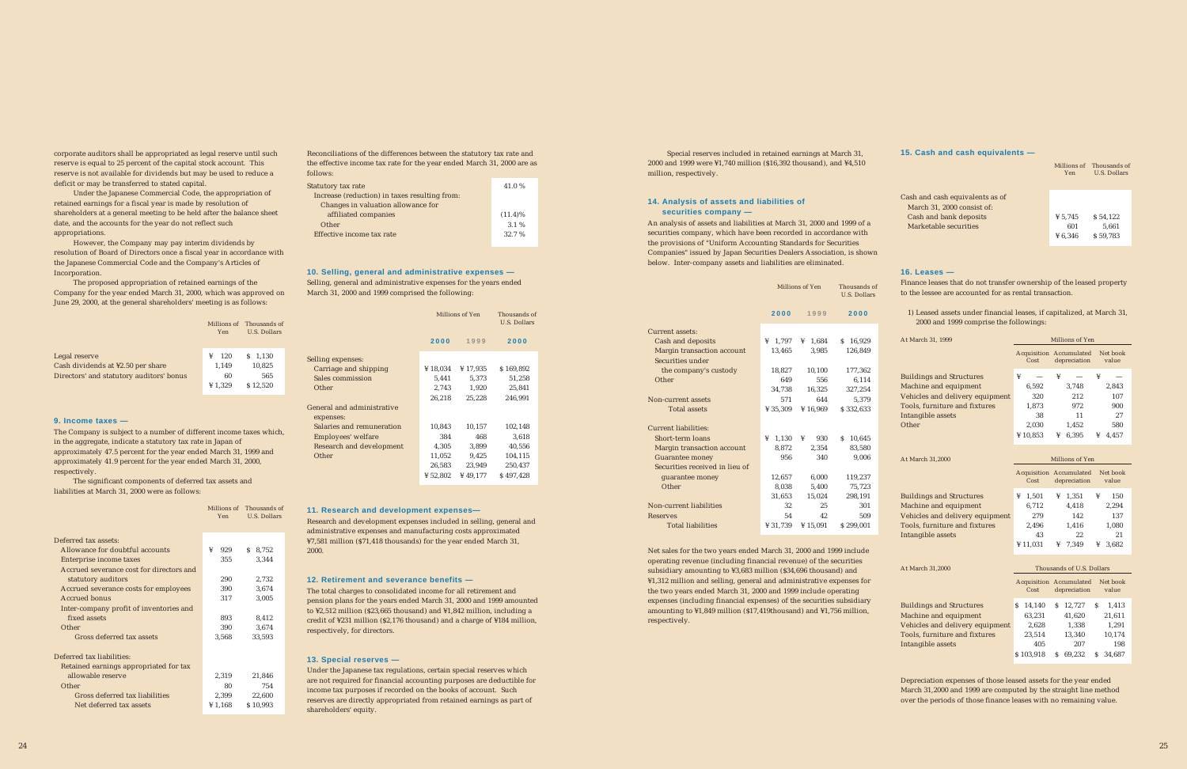corporate auditors shall be appropriated as legal reserve until such reserve is equal to 25 percent of the capital stock account. This reserve is not available for dividends but may be used to reduce a deficit or may be transferred to stated capital.

Under the Japanese Commercial Code, the appropriation of retained earnings for a fiscal year is made by resolution of shareholders at a general meeting to be held after the balance sheet date, and the accounts for the year do not reflect such appropriations.

However, the Company may pay interim dividends by resolution of Board of Directors once a fiscal year in accordance with the Japanese Commercial Code and the Company's Articles of Incorporation.

The proposed appropriation of retained earnings of the Company for the year ended March 31, 2000, which was approved on June 29, 2000, at the general shareholders' meeting is as follows:

The Company is subject to a number of different income taxes which, in the aggregate, indicate a statutory tax rate in Japan of approximately 47.5 percent for the year ended March 31, 1999 and approximately 41.9 percent for the year ended March 31, 2000, respectively.

The significant components of deferred tax assets and liabilities at March 31, 2000 were as follows:

Reconciliations of the differences between the statutory tax rate and the effective income tax rate for the year ended March 31, 2000 are as follows:

Selling, general and administrative expenses for the years ended March 31, 2000 and 1999 comprised the following:

Research and development expenses included in selling, general and administrative expenses and manufacturing costs approximated ¥7,581 million (\$71,418 thousands) for the year ended March 31, 2000.

The total charges to consolidated income for all retirement and pension plans for the years ended March 31, 2000 and 1999 amounted to ¥2,512 million (\$23,665 thousand) and ¥1,842 million, including a credit of ¥231 million (\$2,176 thousand) and a charge of ¥184 million, respectively, for directors.

Under the Japanese tax regulations, certain special reserves which are not required for financial accounting purposes are deductible for income tax purposes if recorded on the books of account. Such reserves are directly appropriated from retained earnings as part of shareholders' equity.

#### **9. Income taxes —**

#### **10. Selling, general and administrative expenses —**

|                                          | Yen       | Millions of Thousands of<br>U.S. Dollars |  |
|------------------------------------------|-----------|------------------------------------------|--|
| Legal reserve                            | 120<br>¥  | $S$ 1.130                                |  |
| Cash dividends at ¥2.50 per share        | 1.149     | 10,825                                   |  |
| Directors' and statutory auditors' bonus | 60        | 565                                      |  |
|                                          | ¥ $1,329$ | \$12.520                                 |  |
|                                          |           |                                          |  |

|                                          | Millions of<br>Yen | Thousands of<br><b>U.S. Dollars</b> |  |
|------------------------------------------|--------------------|-------------------------------------|--|
| Deferred tax assets:                     |                    |                                     |  |
| Allowance for doubtful accounts          | ¥<br>929           | 8,752<br>S.                         |  |
| Enterprise income taxes                  | 355                | 3,344                               |  |
| Accrued severance cost for directors and |                    |                                     |  |
| statutory auditors                       | 290                | 2,732                               |  |
| Accrued severance costs for employees    | 390                | 3,674                               |  |
| <b>Accrued bonus</b>                     | 317                | 3,005                               |  |
| Inter-company profit of inventories and  |                    |                                     |  |
| fixed assets                             | 893                | 8,412                               |  |
| Other                                    | 390                | 3,674                               |  |
| Gross deferred tax assets                | 3,568              | 33,593                              |  |
|                                          |                    |                                     |  |
| Deferred tax liabilities:                |                    |                                     |  |
| Retained earnings appropriated for tax   |                    |                                     |  |
| allowable reserve                        | 2,319              | 21,846                              |  |
| Other                                    | 80                 | 754                                 |  |
| Gross deferred tax liabilities           | 2,399              | 22,600                              |  |
| Net deferred tax assets                  | ¥ 1,168            | \$10,993                            |  |

| Statutory tax rate                            | 41.0%      |
|-----------------------------------------------|------------|
| Increase (reduction) in taxes resulting from: |            |
| Changes in valuation allowance for            |            |
| affiliated companies                          | $(11.4)\%$ |
| Other                                         | 3.1%       |
| Effective income tax rate                     | 32.7 %     |
|                                               |            |

|                            |            | Millions of Yen | Thousands of<br><b>U.S. Dollars</b> |  |
|----------------------------|------------|-----------------|-------------------------------------|--|
|                            | 2000       | 1999            | 2000                                |  |
| Selling expenses:          |            |                 |                                     |  |
| Carriage and shipping      | ¥ $18,034$ | ¥17,935         | \$169,892                           |  |
| Sales commission           | 5.441      | 5,373           | 51,258                              |  |
| Other                      | 2,743      | 1,920           | 25,841                              |  |
|                            | 26.218     | 25.228          | 246,991                             |  |
| General and administrative |            |                 |                                     |  |
| expenses:                  |            |                 |                                     |  |
| Salaries and remuneration  | 10,843     | 10,157          | 102,148                             |  |
| Employees' welfare         | 384        | 468             | 3,618                               |  |
| Research and development   | 4,305      | 3,899           | 40,556                              |  |
| Other                      | 11,052     | 9,425           | 104,115                             |  |
|                            | 26,583     | 23,949          | 250,437                             |  |
|                            | ¥ 52.802   | ¥ $49.177$      | \$497,428                           |  |

Special reserves included in retained earnings at March 31, 2000 and 1999 were ¥1,740 million (\$16,392 thousand), and ¥4,510 million, respectively.

An analysis of assets and liabilities at March 31, 2000 and 1999 of a securities company, which have been recorded in accordance with the provisions of "Uniform Accounting Standards for Securities Companies" issued by Japan Securities Dealers Association, is shown below. Inter-company assets and liabilities are eliminated.

Net sales for the two years ended March 31, 2000 and 1999 include operating revenue (including financial revenue) of the securities subsidiary amounting to ¥3,683 million (\$34,696 thousand) and ¥1,312 million and selling, general and administrative expenses for the two years ended March 31, 2000 and 1999 include operating expenses (including financial expenses) of the securities subsidiary amounting to ¥1,849 million (\$17,419thousand) and ¥1,756 million, respectively.

Finance leases that do not transfer ownership of the leased property to the lessee are accounted for as rental transaction.

1) Leased assets under financial leases, if capitalized, at March 31, 2000 and 1999 comprise the followings:

Depreciation expenses of those leased assets for the year ended March 31,2000 and 1999 are computed by the straight line method over the periods of those finance leases with no remaining value.

#### **11. Research and development expenses—**

#### **15. Cash and cash equivalents —**

#### **16. Leases —**

#### **12. Retirement and severance benefits —**

#### **13. Special reserves —**

#### **14. Analysis of assets and liabilities of securities company —**

|                                | Millions of Yen     | Thousands of<br><b>U.S. Dollars</b> |              |
|--------------------------------|---------------------|-------------------------------------|--------------|
|                                | 2000                | 1999                                | 2000         |
| Current assets:                |                     |                                     |              |
| Cash and deposits              | $\frac{1}{2}$ 1.797 | $\frac{1}{4}$ 1.684                 | \$16,929     |
| Margin transaction account     | 13,465              | 3.985                               | 126,849      |
| Securities under               |                     |                                     |              |
| the company's custody          | 18,827              | 10,100                              | 177,362      |
| Other                          | 649                 | 556                                 | 6,114        |
|                                | 34,738              | 16,325                              | 327,254      |
| Non-current assets             | 571                 | 644                                 | 5.379        |
| <b>Total assets</b>            | ¥ 35,309            | ¥ $16.969$                          | \$332,633    |
|                                |                     |                                     |              |
| Current liabilities:           |                     |                                     |              |
| Short-term loans               | 1,130<br>¥          | 930<br>¥                            | S.<br>10,645 |
| Margin transaction account     | 8,872               | 2,354                               | 83,580       |
| <b>Guarantee money</b>         | 956                 | 340                                 | 9.006        |
| Securities received in lieu of |                     |                                     |              |
| guarantee money                | 12,657              | 6,000                               | 119,237      |
| Other                          | 8.038               | 5,400                               | 75,723       |
|                                | 31,653              | 15,024                              | 298,191      |
| Non-current liabilities        | 32                  | 25                                  | 301          |
| <b>Reserves</b>                | 54                  | 42                                  | 509          |
| <b>Total liabilities</b>       | ¥ 31.739            | ¥ $15.091$                          | \$299.001    |

| At March 31, 1999               | Millions of Yen                        |                   |            |  |  |
|---------------------------------|----------------------------------------|-------------------|------------|--|--|
|                                 | <b>Acquisition Accumulated</b><br>Cost | Net book<br>value |            |  |  |
| <b>Buildings and Structures</b> | ¥                                      | ¥                 | ¥          |  |  |
| Machine and equipment           | 6,592                                  | 3,748             | 2,843      |  |  |
| Vehicles and delivery equipment | 320                                    | 212               | 107        |  |  |
| Tools, furniture and fixtures   | 1,873                                  | 972               | 900        |  |  |
| Intangible assets               | 38                                     | 11                | 27         |  |  |
| Other                           | 2,030                                  | 1,452             | 580        |  |  |
|                                 | ¥ $10.853$                             | 6.395<br>¥        | ¥<br>4.457 |  |  |

| At March 31,2000                | Millions of Yen |                                         |                   |  |  |  |
|---------------------------------|-----------------|-----------------------------------------|-------------------|--|--|--|
|                                 | Cost            | Acquisition Accumulated<br>depreciation | Net book<br>value |  |  |  |
| <b>Buildings and Structures</b> | 1,501<br>¥      | 1,351<br>¥                              | 150<br>¥          |  |  |  |
| Machine and equipment           | 6,712           | 4,418                                   | 2,294             |  |  |  |
| Vehicles and delivery equipment | 279             | 142                                     | 137               |  |  |  |
| Tools, furniture and fixtures   | 2,496           | 1,416                                   | 1,080             |  |  |  |
| Intangible assets               | 43              | 22                                      | 21                |  |  |  |
|                                 | ¥ $11.031$      | 7.349<br>¥                              | 3.682<br>¥        |  |  |  |

| At March 31,2000                | Thousands of U.S. Dollars |           |   |                                                |   |                   |
|---------------------------------|---------------------------|-----------|---|------------------------------------------------|---|-------------------|
|                                 |                           | Cost      |   | <b>Acquisition Accumulated</b><br>depreciation |   | Net book<br>value |
| <b>Buildings and Structures</b> | S                         | 14,140    | S | 12.727                                         | S | 1,413             |
| Machine and equipment           |                           | 63,231    |   | 41,620                                         |   | 21,611            |
| Vehicles and delivery equipment |                           | 2.628     |   | 1.338                                          |   | 1,291             |
| Tools, furniture and fixtures   |                           | 23,514    |   | 13,340                                         |   | 10,174            |
| Intangible assets               |                           | 405       |   | 207                                            |   | 198               |
|                                 |                           | \$103.918 |   | 69.232                                         |   | 34.687            |

|                                                                                                                  | Yen                       | Millions of Thousands of<br><b>U.S. Dollars</b> |
|------------------------------------------------------------------------------------------------------------------|---------------------------|-------------------------------------------------|
| Cash and cash equivalents as of<br>March 31, 2000 consist of:<br>Cash and bank deposits<br>Marketable securities | ¥ 5.745<br>601<br>¥ 6.346 | \$54.122<br>5.661<br>\$59,783                   |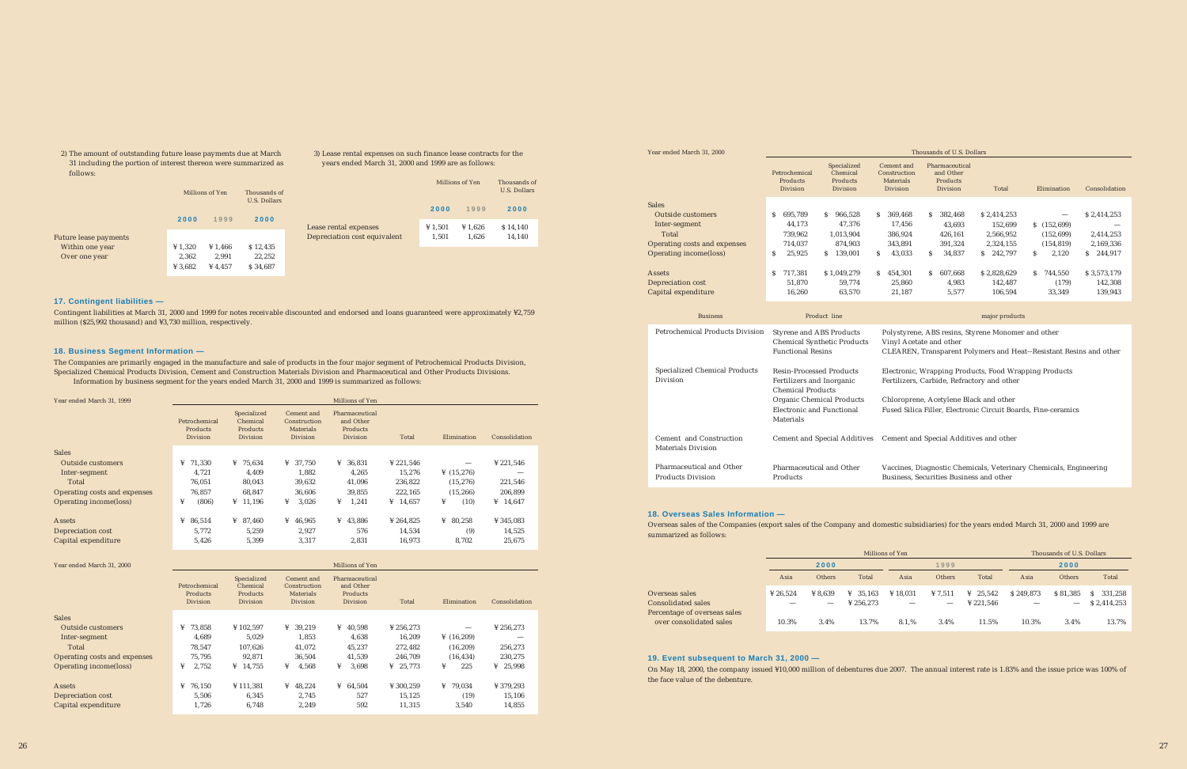2) The amount of outstanding future lease payments due at March 31 including the portion of interest thereon were summarized as follows:

3) Lease rental expenses on such finance lease contracts for the years ended March 31, 2000 and 1999 are as follows:

|                                                       |                  | Millions of Yen              |                    |  |
|-------------------------------------------------------|------------------|------------------------------|--------------------|--|
|                                                       | 2000             | 1999                         | 2000               |  |
| Lease rental expenses<br>Depreciation cost equivalent | ¥ 1,501<br>1,501 | $\frac{1}{2}$ 1.626<br>1.626 | \$14,140<br>14,140 |  |

Contingent liabilities at March 31, 2000 and 1999 for notes receivable discounted and endorsed and loans guaranteed were approximately ¥2,759 million (\$25,992 thousand) and ¥3,730 million, respectively.

The Companies are primarily engaged in the manufacture and sale of products in the four major segment of Petrochemical Products Division, Specialized Chemical Products Division, Cement and Construction Materials Division and Pharmaceutical and Other Products Divisions. Information by business segment for the years ended March 31, 2000 and 1999 is summarized as follows:

| Year ended March 31, 1999    |                                              |                                                 |                                                                   | Millions of Yen                                            |                      |                        |                      |
|------------------------------|----------------------------------------------|-------------------------------------------------|-------------------------------------------------------------------|------------------------------------------------------------|----------------------|------------------------|----------------------|
|                              | Petrochemical<br>Products<br><b>Division</b> | Specialized<br>Chemical<br>Products<br>Division | Cement and<br>Construction<br><b>Materials</b><br><b>Division</b> | Pharmaceutical<br>and Other<br>Products<br><b>Division</b> | Total                | Elimination            | Consolidation        |
| <b>Sales</b>                 |                                              |                                                 |                                                                   |                                                            |                      |                        |                      |
| Outside customers            | ¥<br>71,330                                  | ¥ $75,634$                                      | 37,750<br>¥                                                       | 36,831<br>¥                                                | ¥ 221,546            |                        | ¥ 221,546            |
| Inter-segment                | 4,721                                        | 4,409                                           | 1,882                                                             | 4,265                                                      | 15,276               | $\frac{1}{2}$ (15,276) |                      |
| Total                        | 76.051                                       | 80.043                                          | 39.632                                                            | 41.096                                                     | 236.822              | (15, 276)              | 221,546              |
| Operating costs and expenses | 76.857                                       | 68.847                                          | 36.606                                                            | 39.855                                                     | 222.165              | (15, 266)              | 206,899              |
| Operating income(loss)       | ¥<br>(806)                                   | $\frac{111196}{ }$                              | 3.026<br>¥                                                        | 1.241<br>¥                                                 | $\frac{1}{4}$ 14.657 | ¥<br>(10)              | $\frac{1}{4}$ 14,647 |
| Assets                       | 86,514<br>¥                                  | ¥ 87,460                                        | ¥<br>46,965                                                       | $\frac{1}{4}$ 43,886                                       | ¥ 264,825            | ¥<br>80,258            | ¥ 345,083            |
| Depreciation cost            | 5,772                                        | 5,259                                           | 2,927                                                             | 576                                                        | 14,534               | (9)                    | 14,525               |
| Capital expenditure          | 5,426                                        | 5,399                                           | 3,317                                                             | 2,831                                                      | 16,973               | 8,702                  | 25,675               |

Electronic, Wrapping Products, Food Wrapping Products Fertilizers, Carbide, Refractory and other

| Year ended March 31, 2000    |                                       |                                                        |                                                            | Millions of Yen                                            |             |               |               |
|------------------------------|---------------------------------------|--------------------------------------------------------|------------------------------------------------------------|------------------------------------------------------------|-------------|---------------|---------------|
|                              | Petrochemical<br>Products<br>Division | Specialized<br>Chemical<br>Products<br><b>Division</b> | Cement and<br>Construction<br><b>Materials</b><br>Division | Pharmaceutical<br>and Other<br>Products<br><b>Division</b> | Total       | Elimination   | Consolidation |
| <b>Sales</b>                 |                                       |                                                        |                                                            |                                                            |             |               |               |
| <b>Outside customers</b>     | 73.858<br>¥                           | ¥102,597                                               | 39.219<br>¥                                                | 40.598<br>¥                                                | ¥ 256,273   |               | ¥ 256,273     |
| Inter-segment                | 4,689                                 | 5.029                                                  | 1,853                                                      | 4,638                                                      | 16.209      | ¥ $(16, 209)$ |               |
| Total                        | 78.547                                | 107.626                                                | 41.072                                                     | 45.237                                                     | 272.482     | (16, 209)     | 256,273       |
| Operating costs and expenses | 75.795                                | 92.871                                                 | 36.504                                                     | 41.539                                                     | 246.709     | (16, 434)     | 230.275       |
| Operating income(loss)       | ¥<br>2.752                            | $\frac{1}{4}$ 14,755                                   | ¥<br>4,568                                                 | ¥<br>3,698                                                 | 25.773<br>¥ | ¥<br>225      | 25,998<br>¥   |
| <b>Assets</b>                | 76.150<br>¥                           | ¥111,381                                               | $\frac{1}{4}$ 48.224                                       | $\frac{1}{2}$ 64.504                                       | ¥ 300,259   | ¥<br>79.034   | ¥ 379,293     |
| Depreciation cost            | 5,506                                 | 6,345                                                  | 2.745                                                      | 527                                                        | 15.125      | (19)          | 15,106        |
| Capital expenditure          | 1,726                                 | 6,748                                                  | 2,249                                                      | 592                                                        | 11,315      | 3,540         | 14,855        |

Overseas sales of the Companies (export sales of the Company and domestic subsidiaries) for the years ended March 31, 2000 and 1999 are summarized as follows:

On May 18, 2000, the company issued ¥10,000 million of debentures due 2007. The annual interest rate is 1.83% and the issue price was 100% of the face value of the debenture.

Year ended March 31, 2000

| Year ended March 31, 2000              | Thousands of U.S. Dollars                    |                                                 |                                                     |                                                                               |                |               |               |
|----------------------------------------|----------------------------------------------|-------------------------------------------------|-----------------------------------------------------|-------------------------------------------------------------------------------|----------------|---------------|---------------|
|                                        | Petrochemical<br>Products<br><b>Division</b> | Specialized<br>Chemical<br>Products<br>Division | Cement and<br>Construction<br>Materials<br>Division | Pharmaceutical<br>and Other<br>Products<br>Division                           | Total          | Elimination   | Consolidation |
| <b>Sales</b>                           |                                              |                                                 |                                                     |                                                                               |                |               |               |
| Outside customers                      | S<br>695,789                                 | 966,528<br>S.                                   | 369,468<br>S.                                       | 382,468<br>S.                                                                 | \$2,414,253    |               | \$2,414,253   |
| Inter-segment                          | 44,173                                       | 47,376                                          | 17,456                                              | 43,693                                                                        | 152,699        | \$(152,699)   |               |
| Total                                  | 739,962                                      | 1,013,904                                       | 386,924                                             | 426,161                                                                       | 2,566,952      | (152, 699)    | 2,414,253     |
| Operating costs and expenses           | 714,037                                      | 874,903                                         | 343,891                                             | 391,324                                                                       | 2,324,155      | (154, 819)    | 2,169,336     |
| Operating income(loss)                 | S<br>25,925                                  | S.<br>139,001                                   | 43,033<br>S.                                        | S.<br>34,837                                                                  | 242,797<br>S.  | 2,120<br>S.   | 244,917<br>S. |
| Assets                                 | S<br>717,381                                 | \$1,049,279                                     | 454,301<br>S.                                       | 607,668<br>S.                                                                 | \$2,828,629    | 744,550<br>S. | \$3,573,179   |
| Depreciation cost                      | 51,870                                       | 59,774                                          | 25,860                                              | 4,983                                                                         | 142,487        | (179)         | 142,308       |
| Capital expenditure                    | 16,260                                       | 63,570                                          | 21,187                                              | 5,577                                                                         | 106,594        | 33,349        | 139,943       |
| <b>Business</b>                        |                                              | Product line                                    |                                                     |                                                                               | major products |               |               |
| <b>Petrochemical Products Division</b> | Styrene and ABS Products                     | Chamical Synthatic Products                     |                                                     | Polystyrene, ABS resins, Styrene Monomer and other<br>Vinyl Acetate and other |                |               |               |

| Petrocnemical Products Division               | Styrene and ABS Products<br><b>Chemical Synthetic Products</b><br><b>Functional Resins</b>                                                                      |
|-----------------------------------------------|-----------------------------------------------------------------------------------------------------------------------------------------------------------------|
| Specialized Chemical Products<br>Division     | <b>Resin-Processed Products</b><br>Fertilizers and Inorganic<br><b>Chemical Products</b><br>Organic Chemical Products<br>Electronic and Functional<br>Materials |
| Cement and Construction<br>Materials Division | <b>Cement and Special Additives</b>                                                                                                                             |
| Pharmaceutical and Other<br>Products Division | Pharmaceutical and Other<br>Products                                                                                                                            |

Vinyl Acetate and other CLEAREN, Transparent Polymers and Heat--Resistant Resins and other

Chloroprene, Acetylene Black and other Fused Silica Filler, Electronic Circuit Boards, Fine-ceramics

Cement and Special Additives and other

Vaccines, Diagnostic Chemicals, Veterinary Chemicals, Engineering Business, Securities Business and other

|                                                                      | Millions of Yen |                                                        |                          |          |                                     | Thousands of U.S. Dollars         |           |                               |                              |
|----------------------------------------------------------------------|-----------------|--------------------------------------------------------|--------------------------|----------|-------------------------------------|-----------------------------------|-----------|-------------------------------|------------------------------|
|                                                                      | 2000            |                                                        |                          | 1999     |                                     |                                   | 2000      |                               |                              |
|                                                                      | Asia            | <b>Others</b>                                          | Total                    | Asia     | <b>Others</b>                       | Total                             | Asia      | <b>Others</b>                 | Total                        |
| Overseas sales<br>Consolidated sales<br>Percentage of overseas sales | ¥ 26.524        | $\frac{1}{2}$ 8.639<br>$\hspace{0.1mm}-\hspace{0.1mm}$ | 35.163<br>¥<br>¥ 256.273 | ¥ 18,031 | ¥ 7.511<br>$\overline{\phantom{a}}$ | $\frac{1}{2}$ 25.542<br>¥ 221.546 | \$249.873 | \$81,385<br>$\hspace{0.05cm}$ | 331,258<br>S.<br>\$2,414,253 |
| over consolidated sales                                              | 10.3%           | 3.4%                                                   | 13.7%                    | 8.1.%    | 3.4%                                | 11.5%                             | 10.3%     | 3.4%                          | 13.7%                        |

#### **18. Overseas Sales Information —**

#### **19. Event subsequent to March 31, 2000 —**

|                       |           | Millions of Yen | Thousands of<br>U.S. Dollars |       |
|-----------------------|-----------|-----------------|------------------------------|-------|
|                       | 2000      | 1999            | 2000                         | Lease |
| Future lease payments |           |                 |                              | Depre |
| Within one year       | ¥ $1,320$ | ¥ 1,466         | \$12,435                     |       |
| Over one year         | 2,362     | 2,991           | 22,252                       |       |
|                       | ¥ 3,682   | ¥ $4.457$       | \$34.687                     |       |

#### **18. Business Segment Information —**

#### **17. Contingent liabilities —**